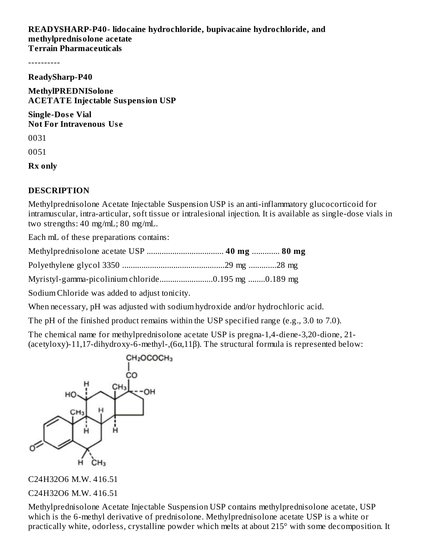#### **READYSHARP-P40- lidocaine hydrochloride, bupivacaine hydrochloride, and methylprednisolone acetate Terrain Pharmaceuticals**

----------

**ReadySharp-P40**

**MethylPREDNISolone ACETATE Injectable Suspension USP**

**Single-Dos e Vial Not For Intravenous Us e**

0031

0051

**Rx only**

#### **DESCRIPTION**

Methylprednisolone Acetate Injectable Suspension USP is an anti-inflammatory glucocorticoid for intramuscular, intra-articular, soft tissue or intralesional injection. It is available as single-dose vials in two strengths: 40 mg/mL; 80 mg/mL.

Each mL of these preparations contains:

|--|--|

Polyethylene glycol 3350 ................................................29 mg .............28 mg

Myristyl-gamma-picolinium chloride.........................0.195 mg ........0.189 mg

Sodium Chloride was added to adjust tonicity.

When necessary, pH was adjusted with sodium hydroxide and/or hydrochloric acid.

The pH of the finished product remains within the USP specified range (e.g., 3.0 to 7.0).

The chemical name for methylprednisolone acetate USP is pregna-1,4-diene-3,20-dione, 21- (acetyloxy)-11,17-dihydroxy-6-methyl-,(6α,11β). The structural formula is represented below:



#### C24H32O6 M.W. 416.51

#### C24H32O6 M.W. 416.51

Methylprednisolone Acetate Injectable Suspension USP contains methylprednisolone acetate, USP which is the 6-methyl derivative of prednisolone. Methylprednisolone acetate USP is a white or practically white, odorless, crystalline powder which melts at about 215° with some decomposition. It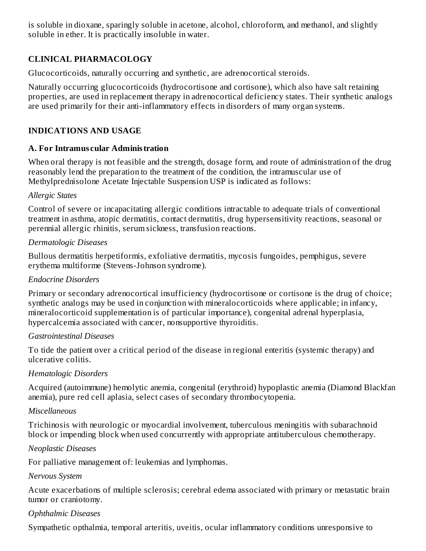is soluble in dioxane, sparingly soluble in acetone, alcohol, chloroform, and methanol, and slightly soluble in ether. It is practically insoluble in water.

### **CLINICAL PHARMACOLOGY**

Glucocorticoids, naturally occurring and synthetic, are adrenocortical steroids.

Naturally occurring glucocorticoids (hydrocortisone and cortisone), which also have salt retaining properties, are used in replacement therapy in adrenocortical deficiency states. Their synthetic analogs are used primarily for their anti-inflammatory effects in disorders of many organ systems.

### **INDICATIONS AND USAGE**

#### **A. For Intramus cular Administration**

When oral therapy is not feasible and the strength, dosage form, and route of administration of the drug reasonably lend the preparation to the treatment of the condition, the intramuscular use of Methylprednisolone Acetate Injectable Suspension USP is indicated as follows:

#### *Allergic States*

Control of severe or incapacitating allergic conditions intractable to adequate trials of conventional treatment in asthma, atopic dermatitis, contact dermatitis, drug hypersensitivity reactions, seasonal or perennial allergic rhinitis, serum sickness, transfusion reactions.

#### *Dermatologic Diseases*

Bullous dermatitis herpetiformis, exfoliative dermatitis, mycosis fungoides, pemphigus, severe erythema multiforme (Stevens-Johnson syndrome).

#### *Endocrine Disorders*

Primary or secondary adrenocortical insufficiency (hydrocortisone or cortisone is the drug of choice; synthetic analogs may be used in conjunction with mineralocorticoids where applicable; in infancy, mineralocorticoid supplementation is of particular importance), congenital adrenal hyperplasia, hypercalcemia associated with cancer, nonsupportive thyroiditis.

### *Gastrointestinal Diseases*

To tide the patient over a critical period of the disease in regional enteritis (systemic therapy) and ulcerative colitis.

#### *Hematologic Disorders*

Acquired (autoimmune) hemolytic anemia, congenital (erythroid) hypoplastic anemia (Diamond Blackfan anemia), pure red cell aplasia, select cases of secondary thrombocytopenia.

### *Miscellaneous*

Trichinosis with neurologic or myocardial involvement, tuberculous meningitis with subarachnoid block or impending block when used concurrently with appropriate antituberculous chemotherapy.

#### *Neoplastic Diseases*

For palliative management of: leukemias and lymphomas.

#### *Nervous System*

Acute exacerbations of multiple sclerosis; cerebral edema associated with primary or metastatic brain tumor or craniotomy.

### *Ophthalmic Diseases*

Sympathetic opthalmia, temporal arteritis, uveitis, ocular inflammatory conditions unresponsive to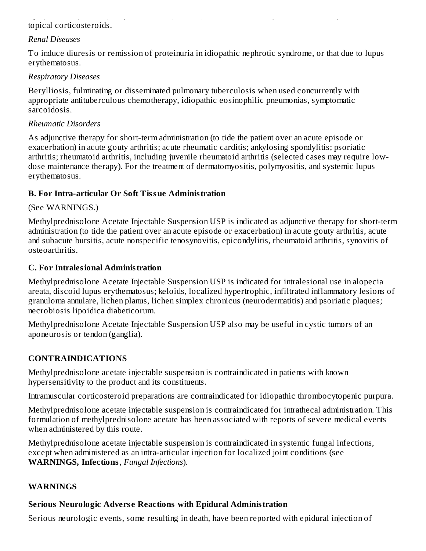#### Sympathetic opthalmia, temporal arteritis, uveitis, ocular inflammatory conditions unresponsive to topical corticosteroids.

#### *Renal Diseases*

To induce diuresis or remission of proteinuria in idiopathic nephrotic syndrome, or that due to lupus erythematosus.

#### *Respiratory Diseases*

Berylliosis, fulminating or disseminated pulmonary tuberculosis when used concurrently with appropriate antituberculous chemotherapy, idiopathic eosinophilic pneumonias, symptomatic sarcoidosis.

#### *Rheumatic Disorders*

As adjunctive therapy for short-term administration (to tide the patient over an acute episode or exacerbation) in acute gouty arthritis; acute rheumatic carditis; ankylosing spondylitis; psoriatic arthritis; rheumatoid arthritis, including juvenile rheumatoid arthritis (selected cases may require lowdose maintenance therapy). For the treatment of dermatomyositis, polymyositis, and systemic lupus erythematosus.

### **B. For Intra-articular Or Soft Tissue Administration**

### (See WARNINGS.)

Methylprednisolone Acetate Injectable Suspension USP is indicated as adjunctive therapy for short-term administration (to tide the patient over an acute episode or exacerbation) in acute gouty arthritis, acute and subacute bursitis, acute nonspecific tenosynovitis, epicondylitis, rheumatoid arthritis, synovitis of osteoarthritis.

### **C. For Intralesional Administration**

Methylprednisolone Acetate Injectable Suspension USP is indicated for intralesional use in alopecia areata, discoid lupus erythematosus; keloids, localized hypertrophic, infiltrated inflammatory lesions of granuloma annulare, lichen planus, lichen simplex chronicus (neurodermatitis) and psoriatic plaques; necrobiosis lipoidica diabeticorum.

Methylprednisolone Acetate Injectable Suspension USP also may be useful in cystic tumors of an aponeurosis or tendon (ganglia).

### **CONTRAINDICATIONS**

Methylprednisolone acetate injectable suspension is contraindicated in patients with known hypersensitivity to the product and its constituents.

Intramuscular corticosteroid preparations are contraindicated for idiopathic thrombocytopenic purpura.

Methylprednisolone acetate injectable suspension is contraindicated for intrathecal administration. This formulation of methylprednisolone acetate has been associated with reports of severe medical events when administered by this route.

Methylprednisolone acetate injectable suspension is contraindicated in systemic fungal infections, except when administered as an intra-articular injection for localized joint conditions (see **WARNINGS, Infections**, *Fungal Infections*).

### **WARNINGS**

## **Serious Neurologic Advers e Reactions with Epidural Administration**

Serious neurologic events, some resulting in death, have been reported with epidural injection of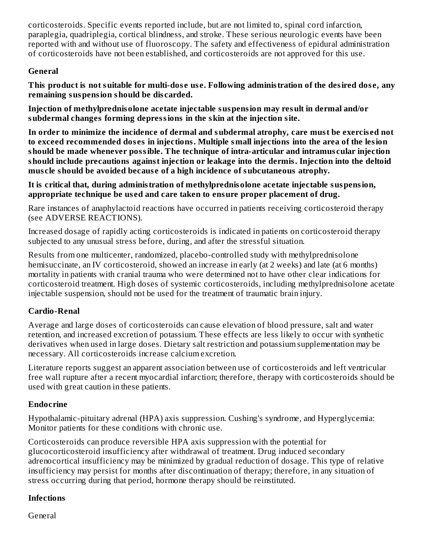corticosteroids. Specific events reported include, but are not limited to, spinal cord infarction, paraplegia, quadriplegia, cortical blindness, and stroke. These serious neurologic events have been reported with and without use of fluoroscopy. The safety and effectiveness of epidural administration of corticosteroids have not been established, and corticosteroids are not approved for this use.

### **General**

This product is not suitable for multi-dose use. Following administration of the desired dose, any **remaining suspension should be dis carded.**

**Injection of methylprednisolone acetate injectable suspension may result in dermal and/or subdermal changes forming depressions in the skin at the injection site.**

**In order to minimize the incidence of dermal and subdermal atrophy, care must be exercis ed not to exceed recommended dos es in injections. Multiple small injections into the area of the lesion should be made whenever possible. The technique of intra-articular and intramus cular injection should include precautions against injection or leakage into the dermis. Injection into the deltoid mus cle should be avoided becaus e of a high incidence of subcutaneous atrophy.**

#### **It is critical that, during administration of methylprednisolone acetate injectable suspension, appropriate technique be us ed and care taken to ensure proper placement of drug.**

Rare instances of anaphylactoid reactions have occurred in patients receiving corticosteroid therapy (see ADVERSE REACTIONS).

Increased dosage of rapidly acting corticosteroids is indicated in patients on corticosteroid therapy subjected to any unusual stress before, during, and after the stressful situation.

Results from one multicenter, randomized, placebo-controlled study with methylprednisolone hemisuccinate, an IV corticosteroid, showed an increase in early (at 2 weeks) and late (at 6 months) mortality in patients with cranial trauma who were determined not to have other clear indications for corticosteroid treatment. High doses of systemic corticosteroids, including methylprednisolone acetate injectable suspension, should not be used for the treatment of traumatic brain injury.

### **Cardio-Renal**

Average and large doses of corticosteroids can cause elevation of blood pressure, salt and water retention, and increased excretion of potassium. These effects are less likely to occur with synthetic derivatives when used in large doses. Dietary salt restriction and potassium supplementation may be necessary. All corticosteroids increase calcium excretion.

Literature reports suggest an apparent association between use of corticosteroids and left ventricular free wall rupture after a recent myocardial infarction; therefore, therapy with corticosteroids should be used with great caution in these patients.

## **Endocrine**

Hypothalamic-pituitary adrenal (HPA) axis suppression. Cushing's syndrome, and Hyperglycemia: Monitor patients for these conditions with chronic use.

Corticosteroids can produce reversible HPA axis suppression with the potential for glucocorticosteroid insufficiency after withdrawal of treatment. Drug induced secondary adrenocortical insufficiency may be minimized by gradual reduction of dosage. This type of relative insufficiency may persist for months after discontinuation of therapy; therefore, in any situation of stress occurring during that period, hormone therapy should be reinstituted.

### **Infections**

General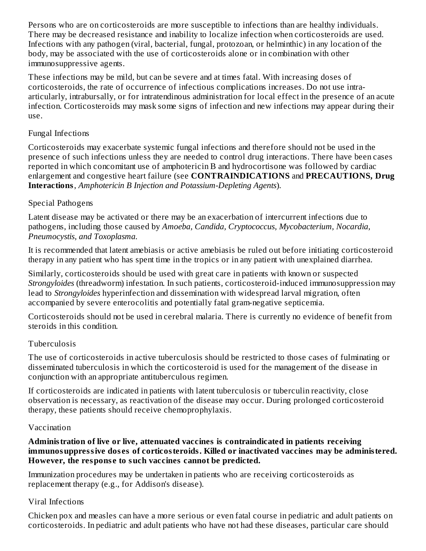Persons who are on corticosteroids are more susceptible to infections than are healthy individuals. There may be decreased resistance and inability to localize infection when corticosteroids are used. Infections with any pathogen (viral, bacterial, fungal, protozoan, or helminthic) in any location of the body, may be associated with the use of corticosteroids alone or in combination with other immunosuppressive agents.

These infections may be mild, but can be severe and at times fatal. With increasing doses of corticosteroids, the rate of occurrence of infectious complications increases. Do not use intraarticularly, intrabursally, or for intratendinous administration for local effect in the presence of an acute infection. Corticosteroids may mask some signs of infection and new infections may appear during their use.

### Fungal Infections

Corticosteroids may exacerbate systemic fungal infections and therefore should not be used in the presence of such infections unless they are needed to control drug interactions. There have been cases reported in which concomitant use of amphotericin B and hydrocortisone was followed by cardiac enlargement and congestive heart failure (see **CONTRAINDICATIONS** and **PRECAUTIONS, Drug Interactions**, *Amphotericin B Injection and Potassium-Depleting Agents*).

### Special Pathogens

Latent disease may be activated or there may be an exacerbation of intercurrent infections due to pathogens, including those caused by *Amoeba, Candida, Cryptococcus, Mycobacterium, Nocardia, Pneumocystis, and Toxoplasma.*

It is recommended that latent amebiasis or active amebiasis be ruled out before initiating corticosteroid therapy in any patient who has spent time in the tropics or in any patient with unexplained diarrhea.

Similarly, corticosteroids should be used with great care in patients with known or suspected *Strongyloides* (threadworm) infestation. In such patients, corticosteroid-induced immunosuppression may lead to *Strongyloides* hyperinfection and dissemination with widespread larval migration, often accompanied by severe enterocolitis and potentially fatal gram-negative septicemia.

Corticosteroids should not be used in cerebral malaria. There is currently no evidence of benefit from steroids in this condition.

### Tuberculosis

The use of corticosteroids in active tuberculosis should be restricted to those cases of fulminating or disseminated tuberculosis in which the corticosteroid is used for the management of the disease in conjunction with an appropriate antituberculous regimen.

If corticosteroids are indicated in patients with latent tuberculosis or tuberculin reactivity, close observation is necessary, as reactivation of the disease may occur. During prolonged corticosteroid therapy, these patients should receive chemoprophylaxis.

### Vaccination

**Administration of live or live, attenuated vaccines is contraindicated in patients receiving immunosuppressive dos es of corticosteroids. Killed or inactivated vaccines may be administered. However, the respons e to such vaccines cannot be predicted.**

Immunization procedures may be undertaken in patients who are receiving corticosteroids as replacement therapy (e.g., for Addison's disease).

### Viral Infections

Chicken pox and measles can have a more serious or even fatal course in pediatric and adult patients on corticosteroids. In pediatric and adult patients who have not had these diseases, particular care should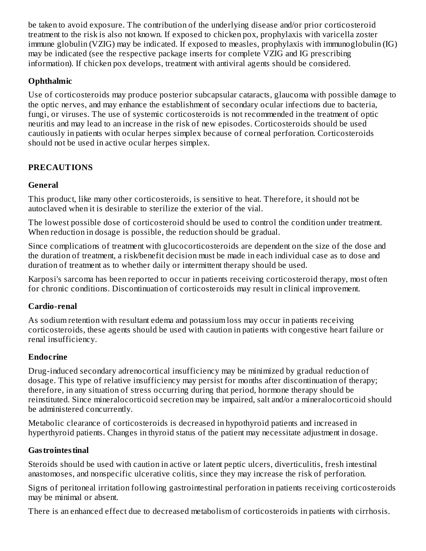be taken to avoid exposure. The contribution of the underlying disease and/or prior corticosteroid treatment to the risk is also not known. If exposed to chicken pox, prophylaxis with varicella zoster immune globulin (VZIG) may be indicated. If exposed to measles, prophylaxis with immunoglobulin (IG) may be indicated (see the respective package inserts for complete VZIG and IG prescribing information). If chicken pox develops, treatment with antiviral agents should be considered.

### **Ophthalmic**

Use of corticosteroids may produce posterior subcapsular cataracts, glaucoma with possible damage to the optic nerves, and may enhance the establishment of secondary ocular infections due to bacteria, fungi, or viruses. The use of systemic corticosteroids is not recommended in the treatment of optic neuritis and may lead to an increase in the risk of new episodes. Corticosteroids should be used cautiously in patients with ocular herpes simplex because of corneal perforation. Corticosteroids should not be used in active ocular herpes simplex.

## **PRECAUTIONS**

### **General**

This product, like many other corticosteroids, is sensitive to heat. Therefore, it should not be autoclaved when it is desirable to sterilize the exterior of the vial.

The lowest possible dose of corticosteroid should be used to control the condition under treatment. When reduction in dosage is possible, the reduction should be gradual.

Since complications of treatment with glucocorticosteroids are dependent on the size of the dose and the duration of treatment, a risk/benefit decision must be made in each individual case as to dose and duration of treatment as to whether daily or intermittent therapy should be used.

Karposi's sarcoma has been reported to occur in patients receiving corticosteroid therapy, most often for chronic conditions. Discontinuation of corticosteroids may result in clinical improvement.

### **Cardio-renal**

As sodium retention with resultant edema and potassium loss may occur in patients receiving corticosteroids, these agents should be used with caution in patients with congestive heart failure or renal insufficiency.

### **Endocrine**

Drug-induced secondary adrenocortical insufficiency may be minimized by gradual reduction of dosage. This type of relative insufficiency may persist for months after discontinuation of therapy; therefore, in any situation of stress occurring during that period, hormone therapy should be reinstituted. Since mineralocorticoid secretion may be impaired, salt and/or a mineralocorticoid should be administered concurrently.

Metabolic clearance of corticosteroids is decreased in hypothyroid patients and increased in hyperthyroid patients. Changes in thyroid status of the patient may necessitate adjustment in dosage.

### **Gastrointestinal**

Steroids should be used with caution in active or latent peptic ulcers, diverticulitis, fresh intestinal anastomoses, and nonspecific ulcerative colitis, since they may increase the risk of perforation.

Signs of peritoneal irritation following gastrointestinal perforation in patients receiving corticosteroids may be minimal or absent.

There is an enhanced effect due to decreased metabolism of corticosteroids in patients with cirrhosis.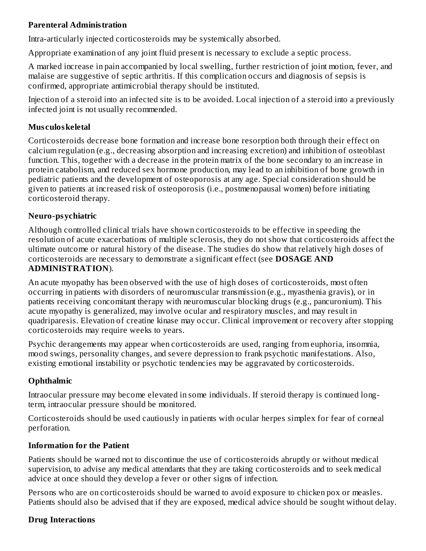### **Parenteral Administration**

Intra-articularly injected corticosteroids may be systemically absorbed.

Appropriate examination of any joint fluid present is necessary to exclude a septic process.

A marked increase in pain accompanied by local swelling, further restriction of joint motion, fever, and malaise are suggestive of septic arthritis. If this complication occurs and diagnosis of sepsis is confirmed, appropriate antimicrobial therapy should be instituted.

Injection of a steroid into an infected site is to be avoided. Local injection of a steroid into a previously infected joint is not usually recommended.

### **Mus culoskeletal**

Corticosteroids decrease bone formation and increase bone resorption both through their effect on calcium regulation (e.g., decreasing absorption and increasing excretion) and inhibition of osteoblast function. This, together with a decrease in the protein matrix of the bone secondary to an increase in protein catabolism, and reduced sex hormone production, may lead to an inhibition of bone growth in pediatric patients and the development of osteoporosis at any age. Special consideration should be given to patients at increased risk of osteoporosis (i.e., postmenopausal women) before initiating corticosteroid therapy.

#### **Neuro-psychiatric**

Although controlled clinical trials have shown corticosteroids to be effective in speeding the resolution of acute exacerbations of multiple sclerosis, they do not show that corticosteroids affect the ultimate outcome or natural history of the disease. The studies do show that relatively high doses of corticosteroids are necessary to demonstrate a significant effect (see **DOSAGE AND ADMINISTRATION**).

An acute myopathy has been observed with the use of high doses of corticosteroids, most often occurring in patients with disorders of neuromuscular transmission (e.g., myasthenia gravis), or in patients receiving concomitant therapy with neuromuscular blocking drugs (e.g., pancuronium). This acute myopathy is generalized, may involve ocular and respiratory muscles, and may result in quadriparesis. Elevation of creatine kinase may occur. Clinical improvement or recovery after stopping corticosteroids may require weeks to years.

Psychic derangements may appear when corticosteroids are used, ranging from euphoria, insomnia, mood swings, personality changes, and severe depression to frank psychotic manifestations. Also, existing emotional instability or psychotic tendencies may be aggravated by corticosteroids.

### **Ophthalmic**

Intraocular pressure may become elevated in some individuals. If steroid therapy is continued longterm, intraocular pressure should be monitored.

Corticosteroids should be used cautiously in patients with ocular herpes simplex for fear of corneal perforation.

#### **Information for the Patient**

Patients should be warned not to discontinue the use of corticosteroids abruptly or without medical supervision, to advise any medical attendants that they are taking corticosteroids and to seek medical advice at once should they develop a fever or other signs of infection.

Persons who are on corticosteroids should be warned to avoid exposure to chicken pox or measles. Patients should also be advised that if they are exposed, medical advice should be sought without delay.

### **Drug Interactions**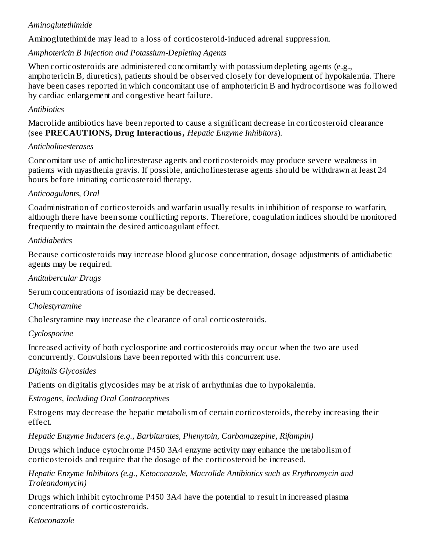### *Aminoglutethimide*

Aminoglutethimide may lead to a loss of corticosteroid-induced adrenal suppression.

### *Amphotericin B Injection and Potassium-Depleting Agents*

When corticosteroids are administered concomitantly with potassium depleting agents (e.g., amphotericin B, diuretics), patients should be observed closely for development of hypokalemia. There have been cases reported in which concomitant use of amphotericin B and hydrocortisone was followed by cardiac enlargement and congestive heart failure.

#### *Antibiotics*

Macrolide antibiotics have been reported to cause a significant decrease in corticosteroid clearance (see **PRECAUTIONS, Drug Interactions,** *Hepatic Enzyme Inhibitors*).

#### *Anticholinesterases*

Concomitant use of anticholinesterase agents and corticosteroids may produce severe weakness in patients with myasthenia gravis. If possible, anticholinesterase agents should be withdrawn at least 24 hours before initiating corticosteroid therapy.

#### *Anticoagulants, Oral*

Coadministration of corticosteroids and warfarin usually results in inhibition of response to warfarin, although there have been some conflicting reports. Therefore, coagulation indices should be monitored frequently to maintain the desired anticoagulant effect.

#### *Antidiabetics*

Because corticosteroids may increase blood glucose concentration, dosage adjustments of antidiabetic agents may be required.

*Antitubercular Drugs*

Serum concentrations of isoniazid may be decreased.

*Cholestyramine*

Cholestyramine may increase the clearance of oral corticosteroids.

### *Cyclosporine*

Increased activity of both cyclosporine and corticosteroids may occur when the two are used concurrently. Convulsions have been reported with this concurrent use.

### *Digitalis Glycosides*

Patients on digitalis glycosides may be at risk of arrhythmias due to hypokalemia.

*Estrogens, Including Oral Contraceptives*

Estrogens may decrease the hepatic metabolism of certain corticosteroids, thereby increasing their effect.

*Hepatic Enzyme Inducers (e.g., Barbiturates, Phenytoin, Carbamazepine, Rifampin)*

Drugs which induce cytochrome P450 3A4 enzyme activity may enhance the metabolism of corticosteroids and require that the dosage of the corticosteroid be increased.

*Hepatic Enzyme Inhibitors (e.g., Ketoconazole, Macrolide Antibiotics such as Erythromycin and Troleandomycin)*

Drugs which inhibit cytochrome P450 3A4 have the potential to result in increased plasma concentrations of corticosteroids.

*Ketoconazole*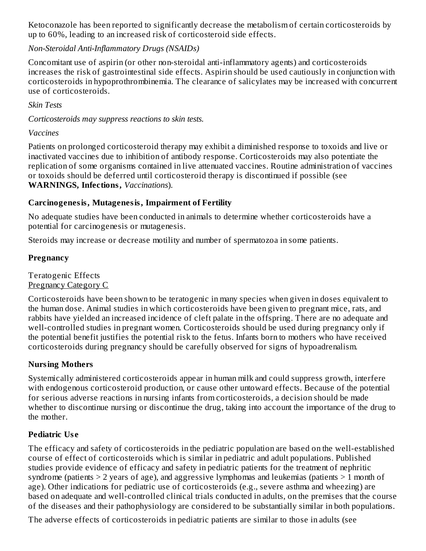Ketoconazole has been reported to significantly decrease the metabolism of certain corticosteroids by up to 60%, leading to an increased risk of corticosteroid side effects.

*Non-Steroidal Anti-Inflammatory Drugs (NSAIDs)*

Concomitant use of aspirin (or other non-steroidal anti-inflammatory agents) and corticosteroids increases the risk of gastrointestinal side effects. Aspirin should be used cautiously in conjunction with corticosteroids in hypoprothrombinemia. The clearance of salicylates may be increased with concurrent use of corticosteroids.

*Skin Tests*

*Corticosteroids may suppress reactions to skin tests.*

*Vaccines*

Patients on prolonged corticosteroid therapy may exhibit a diminished response to toxoids and live or inactivated vaccines due to inhibition of antibody response. Corticosteroids may also potentiate the replication of some organisms contained in live attenuated vaccines. Routine administration of vaccines or toxoids should be deferred until corticosteroid therapy is discontinued if possible (see **WARNINGS, Infections,** *Vaccinations*).

### **Carcinogenesis, Mutagenesis, Impairment of Fertility**

No adequate studies have been conducted in animals to determine whether corticosteroids have a potential for carcinogenesis or mutagenesis.

Steroids may increase or decrease motility and number of spermatozoa in some patients.

### **Pregnancy**

Teratogenic Effects Pregnancy Category C

Corticosteroids have been shown to be teratogenic in many species when given in doses equivalent to the human dose. Animal studies in which corticosteroids have been given to pregnant mice, rats, and rabbits have yielded an increased incidence of cleft palate in the offspring. There are no adequate and well-controlled studies in pregnant women. Corticosteroids should be used during pregnancy only if the potential benefit justifies the potential risk to the fetus. Infants born to mothers who have received corticosteroids during pregnancy should be carefully observed for signs of hypoadrenalism.

### **Nursing Mothers**

Systemically administered corticosteroids appear in human milk and could suppress growth, interfere with endogenous corticosteroid production, or cause other untoward effects. Because of the potential for serious adverse reactions in nursing infants from corticosteroids, a decision should be made whether to discontinue nursing or discontinue the drug, taking into account the importance of the drug to the mother.

### **Pediatric Us e**

The efficacy and safety of corticosteroids in the pediatric population are based on the well-established course of effect of corticosteroids which is similar in pediatric and adult populations. Published studies provide evidence of efficacy and safety in pediatric patients for the treatment of nephritic syndrome (patients > 2 years of age), and aggressive lymphomas and leukemias (patients > 1 month of age). Other indications for pediatric use of corticosteroids (e.g., severe asthma and wheezing) are based on adequate and well-controlled clinical trials conducted in adults, on the premises that the course of the diseases and their pathophysiology are considered to be substantially similar in both populations.

The adverse effects of corticosteroids in pediatric patients are similar to those in adults (see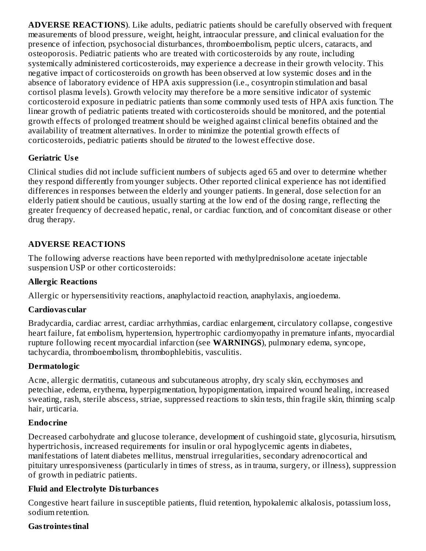**ADVERSE REACTIONS**). Like adults, pediatric patients should be carefully observed with frequent measurements of blood pressure, weight, height, intraocular pressure, and clinical evaluation for the presence of infection, psychosocial disturbances, thromboembolism, peptic ulcers, cataracts, and osteoporosis. Pediatric patients who are treated with corticosteroids by any route, including systemically administered corticosteroids, may experience a decrease in their growth velocity. This negative impact of corticosteroids on growth has been observed at low systemic doses and in the absence of laboratory evidence of HPA axis suppression (i.e., cosyntropin stimulation and basal cortisol plasma levels). Growth velocity may therefore be a more sensitive indicator of systemic corticosteroid exposure in pediatric patients than some commonly used tests of HPA axis function. The linear growth of pediatric patients treated with corticosteroids should be monitored, and the potential growth effects of prolonged treatment should be weighed against clinical benefits obtained and the availability of treatment alternatives. In order to minimize the potential growth effects of corticosteroids, pediatric patients should be *titrated* to the lowest effective dose.

### **Geriatric Us e**

Clinical studies did not include sufficient numbers of subjects aged 65 and over to determine whether they respond differently from younger subjects. Other reported clinical experience has not identified differences in responses between the elderly and younger patients. In general, dose selection for an elderly patient should be cautious, usually starting at the low end of the dosing range, reflecting the greater frequency of decreased hepatic, renal, or cardiac function, and of concomitant disease or other drug therapy.

## **ADVERSE REACTIONS**

The following adverse reactions have been reported with methylprednisolone acetate injectable suspension USP or other corticosteroids:

## **Allergic Reactions**

Allergic or hypersensitivity reactions, anaphylactoid reaction, anaphylaxis, angioedema.

## **Cardiovas cular**

Bradycardia, cardiac arrest, cardiac arrhythmias, cardiac enlargement, circulatory collapse, congestive heart failure, fat embolism, hypertension, hypertrophic cardiomyopathy in premature infants, myocardial rupture following recent myocardial infarction (see **WARNINGS**), pulmonary edema, syncope, tachycardia, thromboembolism, thrombophlebitis, vasculitis.

## **Dermatologic**

Acne, allergic dermatitis, cutaneous and subcutaneous atrophy, dry scaly skin, ecchymoses and petechiae, edema, erythema, hyperpigmentation, hypopigmentation, impaired wound healing, increased sweating, rash, sterile abscess, striae, suppressed reactions to skin tests, thin fragile skin, thinning scalp hair, urticaria.

## **Endocrine**

Decreased carbohydrate and glucose tolerance, development of cushingoid state, glycosuria, hirsutism, hypertrichosis, increased requirements for insulin or oral hypoglycemic agents in diabetes, manifestations of latent diabetes mellitus, menstrual irregularities, secondary adrenocortical and pituitary unresponsiveness (particularly in times of stress, as in trauma, surgery, or illness), suppression of growth in pediatric patients.

## **Fluid and Electrolyte Disturbances**

Congestive heart failure in susceptible patients, fluid retention, hypokalemic alkalosis, potassium loss, sodium retention.

### **Gastrointestinal**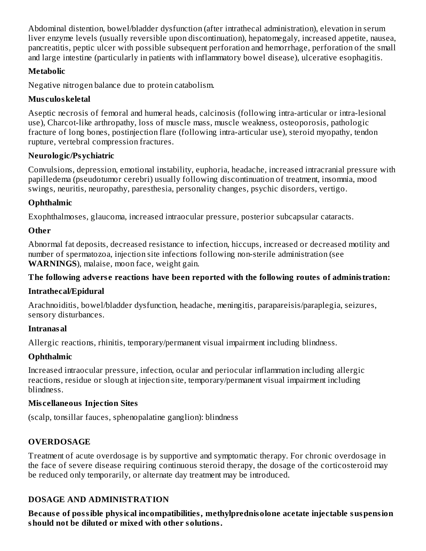Abdominal distention, bowel/bladder dysfunction (after intrathecal administration), elevation in serum liver enzyme levels (usually reversible upon discontinuation), hepatomegaly, increased appetite, nausea, pancreatitis, peptic ulcer with possible subsequent perforation and hemorrhage, perforation of the small and large intestine (particularly in patients with inflammatory bowel disease), ulcerative esophagitis.

### **Metabolic**

Negative nitrogen balance due to protein catabolism.

## **Mus culoskeletal**

Aseptic necrosis of femoral and humeral heads, calcinosis (following intra-articular or intra-lesional use), Charcot-like arthropathy, loss of muscle mass, muscle weakness, osteoporosis, pathologic fracture of long bones, postinjection flare (following intra-articular use), steroid myopathy, tendon rupture, vertebral compression fractures.

### **Neurologic/Psychiatric**

Convulsions, depression, emotional instability, euphoria, headache, increased intracranial pressure with papilledema (pseudotumor cerebri) usually following discontinuation of treatment, insomnia, mood swings, neuritis, neuropathy, paresthesia, personality changes, psychic disorders, vertigo.

## **Ophthalmic**

Exophthalmoses, glaucoma, increased intraocular pressure, posterior subcapsular cataracts.

## **Other**

Abnormal fat deposits, decreased resistance to infection, hiccups, increased or decreased motility and number of spermatozoa, injection site infections following non-sterile administration (see **WARNINGS**), malaise, moon face, weight gain.

## **The following advers e reactions have been reported with the following routes of administration:**

## **Intrathecal/Epidural**

Arachnoiditis, bowel/bladder dysfunction, headache, meningitis, parapareisis/paraplegia, seizures, sensory disturbances.

### **Intranasal**

Allergic reactions, rhinitis, temporary/permanent visual impairment including blindness.

## **Ophthalmic**

Increased intraocular pressure, infection, ocular and periocular inflammation including allergic reactions, residue or slough at injection site, temporary/permanent visual impairment including blindness.

### **Mis cellaneous Injection Sites**

(scalp, tonsillar fauces, sphenopalatine ganglion): blindness

## **OVERDOSAGE**

Treatment of acute overdosage is by supportive and symptomatic therapy. For chronic overdosage in the face of severe disease requiring continuous steroid therapy, the dosage of the corticosteroid may be reduced only temporarily, or alternate day treatment may be introduced.

## **DOSAGE AND ADMINISTRATION**

**Becaus e of possible physical incompatibilities, methylprednisolone acetate injectable suspension should not be diluted or mixed with other solutions.**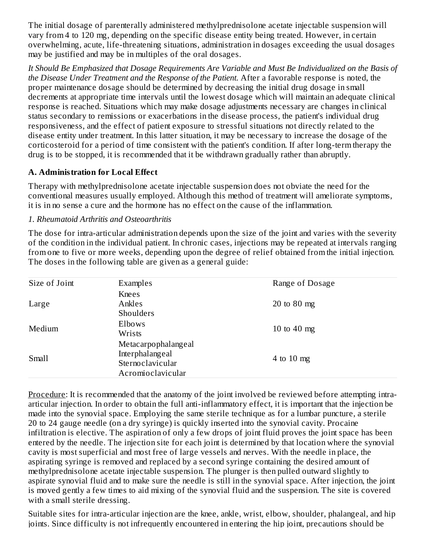The initial dosage of parenterally administered methylprednisolone acetate injectable suspension will vary from 4 to 120 mg, depending on the specific disease entity being treated. However, in certain overwhelming, acute, life-threatening situations, administration in dosages exceeding the usual dosages may be justified and may be in multiples of the oral dosages.

*It Should Be Emphasized that Dosage Requirements Are Variable and Must Be Individualized on the Basis of the Disease Under Treatment and the Response of the Patient.* After a favorable response is noted, the proper maintenance dosage should be determined by decreasing the initial drug dosage in small decrements at appropriate time intervals until the lowest dosage which will maintain an adequate clinical response is reached. Situations which may make dosage adjustments necessary are changes in clinical status secondary to remissions or exacerbations in the disease process, the patient's individual drug responsiveness, and the effect of patient exposure to stressful situations not directly related to the disease entity under treatment. In this latter situation, it may be necessary to increase the dosage of the corticosteroid for a period of time consistent with the patient's condition. If after long-term therapy the drug is to be stopped, it is recommended that it be withdrawn gradually rather than abruptly.

### **A. Administration for Local Effect**

Therapy with methylprednisolone acetate injectable suspension does not obviate the need for the conventional measures usually employed. Although this method of treatment will ameliorate symptoms, it is in no sense a cure and the hormone has no effect on the cause of the inflammation.

### *1. Rheumatoid Arthritis and Osteoarthritis*

The dose for intra-articular administration depends upon the size of the joint and varies with the severity of the condition in the individual patient. In chronic cases, injections may be repeated at intervals ranging from one to five or more weeks, depending upon the degree of relief obtained from the initial injection. The doses in the following table are given as a general guide:

| Size of Joint | Examples                                                                        | Range of Dosage |  |
|---------------|---------------------------------------------------------------------------------|-----------------|--|
| Large         | Knees<br>Ankles<br>Shoulders                                                    | $20$ to $80$ mg |  |
| Medium        | Elbows<br>Wrists                                                                | 10 to 40 mg     |  |
| Small         | Metacarpophalangeal<br>Interphalangeal<br>Sternoclavicular<br>Acromioclavicular | 4 to 10 mg      |  |

Procedure: It is recommended that the anatomy of the joint involved be reviewed before attempting intraarticular injection. In order to obtain the full anti-inflammatory effect, it is important that the injection be made into the synovial space. Employing the same sterile technique as for a lumbar puncture, a sterile 20 to 24 gauge needle (on a dry syringe) is quickly inserted into the synovial cavity. Procaine infiltration is elective. The aspiration of only a few drops of joint fluid proves the joint space has been entered by the needle. The injection site for each joint is determined by that location where the synovial cavity is most superficial and most free of large vessels and nerves. With the needle in place, the aspirating syringe is removed and replaced by a second syringe containing the desired amount of methylprednisolone acetate injectable suspension. The plunger is then pulled outward slightly to aspirate synovial fluid and to make sure the needle is still in the synovial space. After injection, the joint is moved gently a few times to aid mixing of the synovial fluid and the suspension. The site is covered with a small sterile dressing.

Suitable sites for intra-articular injection are the knee, ankle, wrist, elbow, shoulder, phalangeal, and hip joints. Since difficulty is not infrequently encountered in entering the hip joint, precautions should be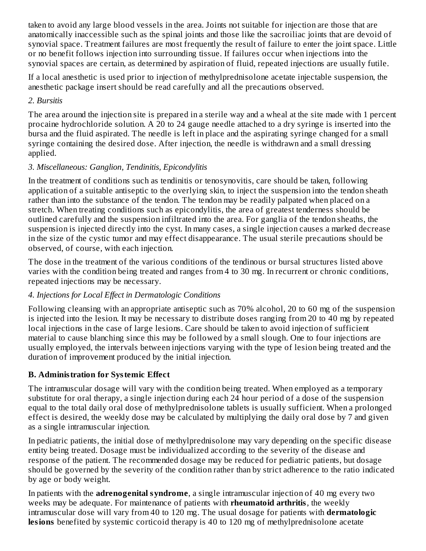taken to avoid any large blood vessels in the area. Joints not suitable for injection are those that are anatomically inaccessible such as the spinal joints and those like the sacroiliac joints that are devoid of synovial space. Treatment failures are most frequently the result of failure to enter the joint space. Little or no benefit follows injection into surrounding tissue. If failures occur when injections into the synovial spaces are certain, as determined by aspiration of fluid, repeated injections are usually futile.

If a local anesthetic is used prior to injection of methylprednisolone acetate injectable suspension, the anesthetic package insert should be read carefully and all the precautions observed.

#### *2. Bursitis*

The area around the injection site is prepared in a sterile way and a wheal at the site made with 1 percent procaine hydrochloride solution. A 20 to 24 gauge needle attached to a dry syringe is inserted into the bursa and the fluid aspirated. The needle is left in place and the aspirating syringe changed for a small syringe containing the desired dose. After injection, the needle is withdrawn and a small dressing applied.

### *3. Miscellaneous: Ganglion, Tendinitis, Epicondylitis*

In the treatment of conditions such as tendinitis or tenosynovitis, care should be taken, following application of a suitable antiseptic to the overlying skin, to inject the suspension into the tendon sheath rather than into the substance of the tendon. The tendon may be readily palpated when placed on a stretch. When treating conditions such as epicondylitis, the area of greatest tenderness should be outlined carefully and the suspension infiltrated into the area. For ganglia of the tendon sheaths, the suspension is injected directly into the cyst. In many cases, a single injection causes a marked decrease in the size of the cystic tumor and may effect disappearance. The usual sterile precautions should be observed, of course, with each injection.

The dose in the treatment of the various conditions of the tendinous or bursal structures listed above varies with the condition being treated and ranges from 4 to 30 mg. In recurrent or chronic conditions, repeated injections may be necessary.

### *4. Injections for Local Effect in Dermatologic Conditions*

Following cleansing with an appropriate antiseptic such as 70% alcohol, 20 to 60 mg of the suspension is injected into the lesion. It may be necessary to distribute doses ranging from 20 to 40 mg by repeated local injections in the case of large lesions. Care should be taken to avoid injection of sufficient material to cause blanching since this may be followed by a small slough. One to four injections are usually employed, the intervals between injections varying with the type of lesion being treated and the duration of improvement produced by the initial injection.

### **B. Administration for Systemic Effect**

The intramuscular dosage will vary with the condition being treated. When employed as a temporary substitute for oral therapy, a single injection during each 24 hour period of a dose of the suspension equal to the total daily oral dose of methylprednisolone tablets is usually sufficient. When a prolonged effect is desired, the weekly dose may be calculated by multiplying the daily oral dose by 7 and given as a single intramuscular injection.

In pediatric patients, the initial dose of methylprednisolone may vary depending on the specific disease entity being treated. Dosage must be individualized according to the severity of the disease and response of the patient. The recommended dosage may be reduced for pediatric patients, but dosage should be governed by the severity of the condition rather than by strict adherence to the ratio indicated by age or body weight.

In patients with the **adrenogenital syndrome**, a single intramuscular injection of 40 mg every two weeks may be adequate. For maintenance of patients with **rheumatoid arthritis**, the weekly intramuscular dose will vary from 40 to 120 mg. The usual dosage for patients with **dermatologic lesions** benefited by systemic corticoid therapy is 40 to 120 mg of methylprednisolone acetate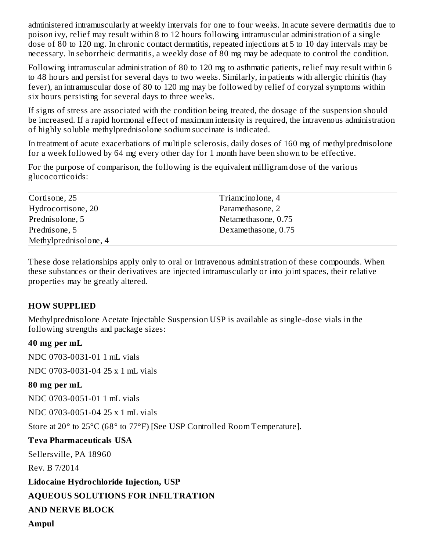administered intramuscularly at weekly intervals for one to four weeks. In acute severe dermatitis due to poison ivy, relief may result within 8 to 12 hours following intramuscular administration of a single dose of 80 to 120 mg. In chronic contact dermatitis, repeated injections at 5 to 10 day intervals may be necessary. In seborrheic dermatitis, a weekly dose of 80 mg may be adequate to control the condition.

Following intramuscular administration of 80 to 120 mg to asthmatic patients, relief may result within 6 to 48 hours and persist for several days to two weeks. Similarly, in patients with allergic rhinitis (hay fever), an intramuscular dose of 80 to 120 mg may be followed by relief of coryzal symptoms within six hours persisting for several days to three weeks.

If signs of stress are associated with the condition being treated, the dosage of the suspension should be increased. If a rapid hormonal effect of maximum intensity is required, the intravenous administration of highly soluble methylprednisolone sodium succinate is indicated.

In treatment of acute exacerbations of multiple sclerosis, daily doses of 160 mg of methylprednisolone for a week followed by 64 mg every other day for 1 month have been shown to be effective.

For the purpose of comparison, the following is the equivalent milligram dose of the various glucocorticoids:

| Cortisone, 25         | Triamcinolone, 4    |
|-----------------------|---------------------|
| Hydrocortisone, 20    | Paramethasone, 2    |
| Prednisolone, 5       | Netamethasone, 0.75 |
| Prednisone, 5         | Dexamethasone, 0.75 |
| Methylprednisolone, 4 |                     |

These dose relationships apply only to oral or intravenous administration of these compounds. When these substances or their derivatives are injected intramuscularly or into joint spaces, their relative properties may be greatly altered.

### **HOW SUPPLIED**

Methylprednisolone Acetate Injectable Suspension USP is available as single-dose vials in the following strengths and package sizes:

### **40 mg per mL**

NDC 0703-0031-01 1 mL vials

NDC 0703-0031-04 25 x 1 mL vials

### **80 mg per mL**

NDC 0703-0051-01 1 mL vials

NDC 0703-0051-04 25 x 1 mL vials

Store at 20° to 25°C (68° to 77°F) [See USP Controlled Room Temperature].

### **Teva Pharmaceuticals USA**

Sellersville, PA 18960

Rev. B 7/2014

### **Lidocaine Hydrochloride Injection, USP**

**AQUEOUS SOLUTIONS FOR INFILTRATION**

### **AND NERVE BLOCK**

**Ampul**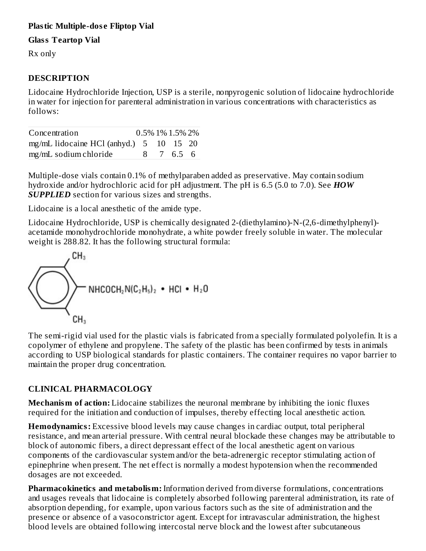### **Plastic Multiple-dos e Fliptop Vial**

#### **Glass Teartop Vial**

Rx only

### **DESCRIPTION**

Lidocaine Hydrochloride Injection, USP is a sterile, nonpyrogenic solution of lidocaine hydrochloride in water for injection for parenteral administration in various concentrations with characteristics as follows:

| Concentration                           | 0.5% 1% 1.5% 2% |           |  |
|-----------------------------------------|-----------------|-----------|--|
| mg/mL lidocaine HCl (anhyd.) 5 10 15 20 |                 |           |  |
| mg/mL sodium chloride                   |                 | 8 7 6.5 6 |  |

Multiple-dose vials contain 0.1% of methylparaben added as preservative. May contain sodium hydroxide and/or hydrochloric acid for pH adjustment. The pH is 6.5 (5.0 to 7.0). See *HOW* **SUPPLIED** section for various sizes and strengths.

Lidocaine is a local anesthetic of the amide type.

Lidocaine Hydrochloride, USP is chemically designated 2-(diethylamino)-N-(2,6-dimethylphenyl) acetamide monohydrochloride monohydrate, a white powder freely soluble in water. The molecular weight is 288.82. It has the following structural formula:



The semi-rigid vial used for the plastic vials is fabricated from a specially formulated polyolefin. It is a copolymer of ethylene and propylene. The safety of the plastic has been confirmed by tests in animals according to USP biological standards for plastic containers. The container requires no vapor barrier to maintain the proper drug concentration.

### **CLINICAL PHARMACOLOGY**

**Mechanism of action:** Lidocaine stabilizes the neuronal membrane by inhibiting the ionic fluxes required for the initiation and conduction of impulses, thereby effecting local anesthetic action.

**Hemodynamics:** Excessive blood levels may cause changes in cardiac output, total peripheral resistance, and mean arterial pressure. With central neural blockade these changes may be attributable to block of autonomic fibers, a direct depressant effect of the local anesthetic agent on various components of the cardiovascular system and/or the beta-adrenergic receptor stimulating action of epinephrine when present. The net effect is normally a modest hypotension when the recommended dosages are not exceeded.

**Pharmacokinetics and metabolism:** Information derived from diverse formulations, concentrations and usages reveals that lidocaine is completely absorbed following parenteral administration, its rate of absorption depending, for example, upon various factors such as the site of administration and the presence or absence of a vasoconstrictor agent. Except for intravascular administration, the highest blood levels are obtained following intercostal nerve block and the lowest after subcutaneous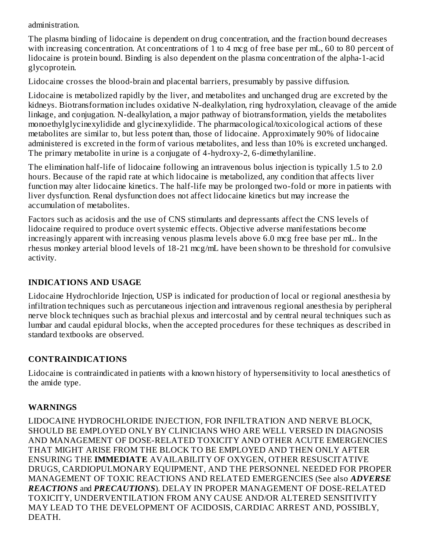administration.

The plasma binding of lidocaine is dependent on drug concentration, and the fraction bound decreases with increasing concentration. At concentrations of 1 to 4 mcg of free base per mL, 60 to 80 percent of lidocaine is protein bound. Binding is also dependent on the plasma concentration of the alpha-1-acid glycoprotein.

Lidocaine crosses the blood-brain and placental barriers, presumably by passive diffusion.

Lidocaine is metabolized rapidly by the liver, and metabolites and unchanged drug are excreted by the kidneys. Biotransformation includes oxidative N-dealkylation, ring hydroxylation, cleavage of the amide linkage, and conjugation. N-dealkylation, a major pathway of biotransformation, yields the metabolites monoethylglycinexylidide and glycinexylidide. The pharmacological/toxicological actions of these metabolites are similar to, but less potent than, those of lidocaine. Approximately 90% of lidocaine administered is excreted in the form of various metabolites, and less than 10% is excreted unchanged. The primary metabolite in urine is a conjugate of 4-hydroxy-2, 6-dimethylaniline.

The elimination half-life of lidocaine following an intravenous bolus injection is typically 1.5 to 2.0 hours. Because of the rapid rate at which lidocaine is metabolized, any condition that affects liver function may alter lidocaine kinetics. The half-life may be prolonged two-fold or more in patients with liver dysfunction. Renal dysfunction does not affect lidocaine kinetics but may increase the accumulation of metabolites.

Factors such as acidosis and the use of CNS stimulants and depressants affect the CNS levels of lidocaine required to produce overt systemic effects. Objective adverse manifestations become increasingly apparent with increasing venous plasma levels above 6.0 mcg free base per mL. In the rhesus monkey arterial blood levels of 18-21 mcg/mL have been shown to be threshold for convulsive activity.

### **INDICATIONS AND USAGE**

Lidocaine Hydrochloride Injection, USP is indicated for production of local or regional anesthesia by infiltration techniques such as percutaneous injection and intravenous regional anesthesia by peripheral nerve block techniques such as brachial plexus and intercostal and by central neural techniques such as lumbar and caudal epidural blocks, when the accepted procedures for these techniques as described in standard textbooks are observed.

### **CONTRAINDICATIONS**

Lidocaine is contraindicated in patients with a known history of hypersensitivity to local anesthetics of the amide type.

### **WARNINGS**

LIDOCAINE HYDROCHLORIDE INJECTION, FOR INFILTRATION AND NERVE BLOCK, SHOULD BE EMPLOYED ONLY BY CLINICIANS WHO ARE WELL VERSED IN DIAGNOSIS AND MANAGEMENT OF DOSE-RELATED TOXICITY AND OTHER ACUTE EMERGENCIES THAT MIGHT ARISE FROM THE BLOCK TO BE EMPLOYED AND THEN ONLY AFTER ENSURING THE **IMMEDIATE** AVAILABILITY OF OXYGEN, OTHER RESUSCITATIVE DRUGS, CARDIOPULMONARY EQUIPMENT, AND THE PERSONNEL NEEDED FOR PROPER MANAGEMENT OF TOXIC REACTIONS AND RELATED EMERGENCIES (See also *ADVERSE REACTIONS* and *PRECAUTIONS*). DELAY IN PROPER MANAGEMENT OF DOSE-RELATED TOXICITY, UNDERVENTILATION FROM ANY CAUSE AND/OR ALTERED SENSITIVITY MAY LEAD TO THE DEVELOPMENT OF ACIDOSIS, CARDIAC ARREST AND, POSSIBLY, DEATH.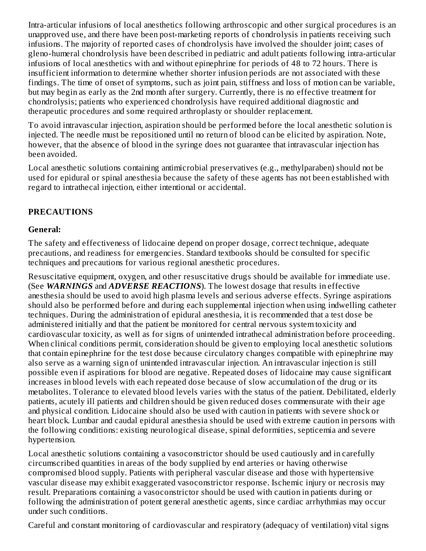Intra-articular infusions of local anesthetics following arthroscopic and other surgical procedures is an unapproved use, and there have been post-marketing reports of chondrolysis in patients receiving such infusions. The majority of reported cases of chondrolysis have involved the shoulder joint; cases of gleno-humeral chondrolysis have been described in pediatric and adult patients following intra-articular infusions of local anesthetics with and without epinephrine for periods of 48 to 72 hours. There is insufficient information to determine whether shorter infusion periods are not associated with these findings. The time of onset of symptoms, such as joint pain, stiffness and loss of motion can be variable, but may begin as early as the 2nd month after surgery. Currently, there is no effective treatment for chondrolysis; patients who experienced chondrolysis have required additional diagnostic and therapeutic procedures and some required arthroplasty or shoulder replacement.

To avoid intravascular injection, aspiration should be performed before the local anesthetic solution is injected. The needle must be repositioned until no return of blood can be elicited by aspiration. Note, however, that the absence of blood in the syringe does not guarantee that intravascular injection has been avoided.

Local anesthetic solutions containing antimicrobial preservatives (e.g., methylparaben) should not be used for epidural or spinal anesthesia because the safety of these agents has not been established with regard to intrathecal injection, either intentional or accidental.

### **PRECAUTIONS**

### **General:**

The safety and effectiveness of lidocaine depend on proper dosage, correct technique, adequate precautions, and readiness for emergencies. Standard textbooks should be consulted for specific techniques and precautions for various regional anesthetic procedures.

Resuscitative equipment, oxygen, and other resuscitative drugs should be available for immediate use. (See *WARNINGS* and *ADVERSE REACTIONS*). The lowest dosage that results in effective anesthesia should be used to avoid high plasma levels and serious adverse effects. Syringe aspirations should also be performed before and during each supplemental injection when using indwelling catheter techniques. During the administration of epidural anesthesia, it is recommended that a test dose be administered initially and that the patient be monitored for central nervous system toxicity and cardiovascular toxicity, as well as for signs of unintended intrathecal administration before proceeding. When clinical conditions permit, consideration should be given to employing local anesthetic solutions that contain epinephrine for the test dose because circulatory changes compatible with epinephrine may also serve as a warning sign of unintended intravascular injection. An intravascular injection is still possible even if aspirations for blood are negative. Repeated doses of lidocaine may cause significant increases in blood levels with each repeated dose because of slow accumulation of the drug or its metabolites. Tolerance to elevated blood levels varies with the status of the patient. Debilitated, elderly patients, acutely ill patients and children should be given reduced doses commensurate with their age and physical condition. Lidocaine should also be used with caution in patients with severe shock or heart block. Lumbar and caudal epidural anesthesia should be used with extreme caution in persons with the following conditions: existing neurological disease, spinal deformities, septicemia and severe hypertension.

Local anesthetic solutions containing a vasoconstrictor should be used cautiously and in carefully circumscribed quantities in areas of the body supplied by end arteries or having otherwise compromised blood supply. Patients with peripheral vascular disease and those with hypertensive vascular disease may exhibit exaggerated vasoconstrictor response. Ischemic injury or necrosis may result. Preparations containing a vasoconstrictor should be used with caution in patients during or following the administration of potent general anesthetic agents, since cardiac arrhythmias may occur under such conditions.

Careful and constant monitoring of cardiovascular and respiratory (adequacy of ventilation) vital signs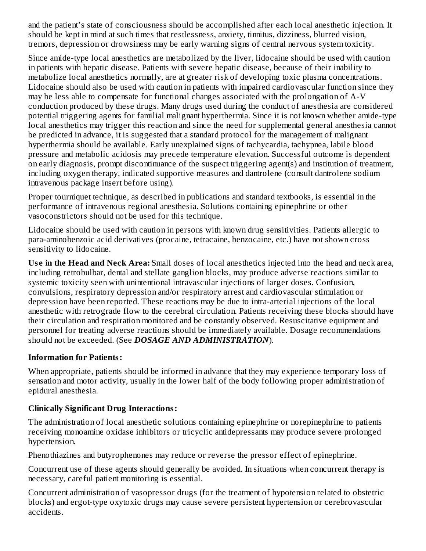and the patient's state of consciousness should be accomplished after each local anesthetic injection. It should be kept in mind at such times that restlessness, anxiety, tinnitus, dizziness, blurred vision, tremors, depression or drowsiness may be early warning signs of central nervous system toxicity.

Since amide-type local anesthetics are metabolized by the liver, lidocaine should be used with caution in patients with hepatic disease. Patients with severe hepatic disease, because of their inability to metabolize local anesthetics normally, are at greater risk of developing toxic plasma concentrations. Lidocaine should also be used with caution in patients with impaired cardiovascular function since they may be less able to compensate for functional changes associated with the prolongation of A-V conduction produced by these drugs. Many drugs used during the conduct of anesthesia are considered potential triggering agents for familial malignant hyperthermia. Since it is not known whether amide-type local anesthetics may trigger this reaction and since the need for supplemental general anesthesia cannot be predicted in advance, it is suggested that a standard protocol for the management of malignant hyperthermia should be available. Early unexplained signs of tachycardia, tachypnea, labile blood pressure and metabolic acidosis may precede temperature elevation. Successful outcome is dependent on early diagnosis, prompt discontinuance of the suspect triggering agent(s) and institution of treatment, including oxygen therapy, indicated supportive measures and dantrolene (consult dantrolene sodium intravenous package insert before using).

Proper tourniquet technique, as described in publications and standard textbooks, is essential in the performance of intravenous regional anesthesia. Solutions containing epinephrine or other vasoconstrictors should not be used for this technique.

Lidocaine should be used with caution in persons with known drug sensitivities. Patients allergic to para-aminobenzoic acid derivatives (procaine, tetracaine, benzocaine, etc.) have not shown cross sensitivity to lidocaine.

**Us e in the Head and Neck Area:** Small doses of local anesthetics injected into the head and neck area, including retrobulbar, dental and stellate ganglion blocks, may produce adverse reactions similar to systemic toxicity seen with unintentional intravascular injections of larger doses. Confusion, convulsions, respiratory depression and/or respiratory arrest and cardiovascular stimulation or depression have been reported. These reactions may be due to intra-arterial injections of the local anesthetic with retrograde flow to the cerebral circulation. Patients receiving these blocks should have their circulation and respiration monitored and be constantly observed. Resuscitative equipment and personnel for treating adverse reactions should be immediately available. Dosage recommendations should not be exceeded. (See *DOSAGE AND ADMINISTRATION*).

### **Information for Patients:**

When appropriate, patients should be informed in advance that they may experience temporary loss of sensation and motor activity, usually in the lower half of the body following proper administration of epidural anesthesia.

### **Clinically Significant Drug Interactions:**

The administration of local anesthetic solutions containing epinephrine or norepinephrine to patients receiving monoamine oxidase inhibitors or tricyclic antidepressants may produce severe prolonged hypertension.

Phenothiazines and butyrophenones may reduce or reverse the pressor effect of epinephrine.

Concurrent use of these agents should generally be avoided. In situations when concurrent therapy is necessary, careful patient monitoring is essential.

Concurrent administration of vasopressor drugs (for the treatment of hypotension related to obstetric blocks) and ergot-type oxytoxic drugs may cause severe persistent hypertension or cerebrovascular accidents.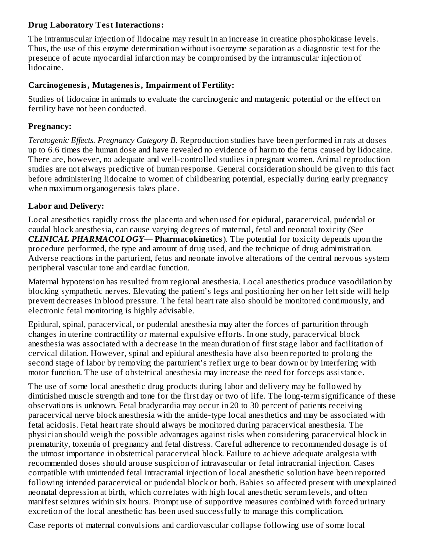### **Drug Laboratory Test Interactions:**

The intramuscular injection of lidocaine may result in an increase in creatine phosphokinase levels. Thus, the use of this enzyme determination without isoenzyme separation as a diagnostic test for the presence of acute myocardial infarction may be compromised by the intramuscular injection of lidocaine.

### **Carcinogenesis, Mutagenesis, Impairment of Fertility:**

Studies of lidocaine in animals to evaluate the carcinogenic and mutagenic potential or the effect on fertility have not been conducted.

### **Pregnancy:**

*Teratogenic Effects. Pregnancy Category B.* Reproduction studies have been performed in rats at doses up to 6.6 times the human dose and have revealed no evidence of harm to the fetus caused by lidocaine. There are, however, no adequate and well-controlled studies in pregnant women. Animal reproduction studies are not always predictive of human response. General consideration should be given to this fact before administering lidocaine to women of childbearing potential, especially during early pregnancy when maximum organogenesis takes place.

### **Labor and Delivery:**

Local anesthetics rapidly cross the placenta and when used for epidural, paracervical, pudendal or caudal block anesthesia, can cause varying degrees of maternal, fetal and neonatal toxicity (See *CLINICAL PHARMACOLOGY*— **Pharmacokinetics**). The potential for toxicity depends upon the procedure performed, the type and amount of drug used, and the technique of drug administration. Adverse reactions in the parturient, fetus and neonate involve alterations of the central nervous system peripheral vascular tone and cardiac function.

Maternal hypotension has resulted from regional anesthesia. Local anesthetics produce vasodilation by blocking sympathetic nerves. Elevating the patient's legs and positioning her on her left side will help prevent decreases in blood pressure. The fetal heart rate also should be monitored continuously, and electronic fetal monitoring is highly advisable.

Epidural, spinal, paracervical, or pudendal anesthesia may alter the forces of parturition through changes in uterine contractility or maternal expulsive efforts. In one study, paracervical block anesthesia was associated with a decrease in the mean duration of first stage labor and facilitation of cervical dilation. However, spinal and epidural anesthesia have also been reported to prolong the second stage of labor by removing the parturient's reflex urge to bear down or by interfering with motor function. The use of obstetrical anesthesia may increase the need for forceps assistance.

The use of some local anesthetic drug products during labor and delivery may be followed by diminished muscle strength and tone for the first day or two of life. The long-term significance of these observations is unknown. Fetal bradycardia may occur in 20 to 30 percent of patients receiving paracervical nerve block anesthesia with the amide-type local anesthetics and may be associated with fetal acidosis. Fetal heart rate should always be monitored during paracervical anesthesia. The physician should weigh the possible advantages against risks when considering paracervical block in prematurity, toxemia of pregnancy and fetal distress. Careful adherence to recommended dosage is of the utmost importance in obstetrical paracervical block. Failure to achieve adequate analgesia with recommended doses should arouse suspicion of intravascular or fetal intracranial injection. Cases compatible with unintended fetal intracranial injection of local anesthetic solution have been reported following intended paracervical or pudendal block or both. Babies so affected present with unexplained neonatal depression at birth, which correlates with high local anesthetic serum levels, and often manifest seizures within six hours. Prompt use of supportive measures combined with forced urinary excretion of the local anesthetic has been used successfully to manage this complication.

Case reports of maternal convulsions and cardiovascular collapse following use of some local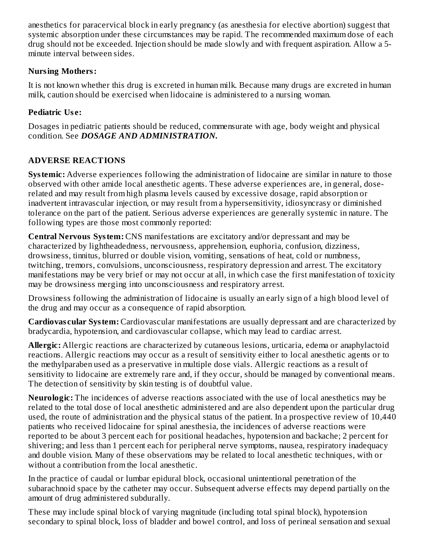anesthetics for paracervical block in early pregnancy (as anesthesia for elective abortion) suggest that systemic absorption under these circumstances may be rapid. The recommended maximum dose of each drug should not be exceeded. Injection should be made slowly and with frequent aspiration. Allow a 5 minute interval between sides.

### **Nursing Mothers:**

It is not known whether this drug is excreted in human milk. Because many drugs are excreted in human milk, caution should be exercised when lidocaine is administered to a nursing woman.

## **Pediatric Us e:**

Dosages in pediatric patients should be reduced, commensurate with age, body weight and physical condition. See *DOSAGE AND ADMINISTRATION.*

## **ADVERSE REACTIONS**

**Systemic:** Adverse experiences following the administration of lidocaine are similar in nature to those observed with other amide local anesthetic agents. These adverse experiences are, in general, doserelated and may result from high plasma levels caused by excessive dosage, rapid absorption or inadvertent intravascular injection, or may result from a hypersensitivity, idiosyncrasy or diminished tolerance on the part of the patient. Serious adverse experiences are generally systemic in nature. The following types are those most commonly reported:

**Central Nervous System:** CNS manifestations are excitatory and/or depressant and may be characterized by lightheadedness, nervousness, apprehension, euphoria, confusion, dizziness, drowsiness, tinnitus, blurred or double vision, vomiting, sensations of heat, cold or numbness, twitching, tremors, convulsions, unconsciousness, respiratory depression and arrest. The excitatory manifestations may be very brief or may not occur at all, in which case the first manifestation of toxicity may be drowsiness merging into unconsciousness and respiratory arrest.

Drowsiness following the administration of lidocaine is usually an early sign of a high blood level of the drug and may occur as a consequence of rapid absorption.

**Cardiovas cular System:** Cardiovascular manifestations are usually depressant and are characterized by bradycardia, hypotension, and cardiovascular collapse, which may lead to cardiac arrest.

**Allergic:** Allergic reactions are characterized by cutaneous lesions, urticaria, edema or anaphylactoid reactions. Allergic reactions may occur as a result of sensitivity either to local anesthetic agents or to the methylparaben used as a preservative in multiple dose vials. Allergic reactions as a result of sensitivity to lidocaine are extremely rare and, if they occur, should be managed by conventional means. The detection of sensitivity by skin testing is of doubtful value.

**Neurologic:** The incidences of adverse reactions associated with the use of local anesthetics may be related to the total dose of local anesthetic administered and are also dependent upon the particular drug used, the route of administration and the physical status of the patient. In a prospective review of 10,440 patients who received lidocaine for spinal anesthesia, the incidences of adverse reactions were reported to be about 3 percent each for positional headaches, hypotension and backache; 2 percent for shivering; and less than 1 percent each for peripheral nerve symptoms, nausea, respiratory inadequacy and double vision. Many of these observations may be related to local anesthetic techniques, with or without a contribution from the local anesthetic.

In the practice of caudal or lumbar epidural block, occasional unintentional penetration of the subarachnoid space by the catheter may occur. Subsequent adverse effects may depend partially on the amount of drug administered subdurally.

These may include spinal block of varying magnitude (including total spinal block), hypotension secondary to spinal block, loss of bladder and bowel control, and loss of perineal sensation and sexual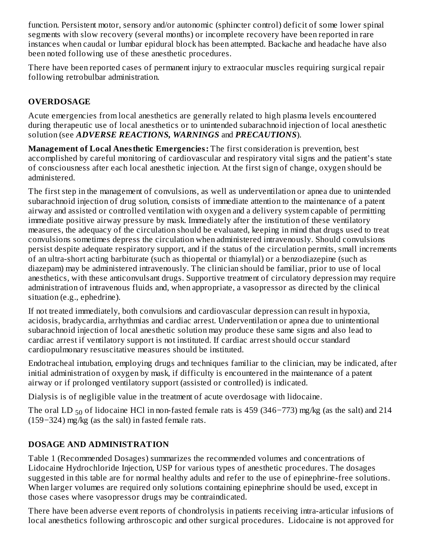function. Persistent motor, sensory and/or autonomic (sphincter control) deficit of some lower spinal segments with slow recovery (several months) or incomplete recovery have been reported in rare instances when caudal or lumbar epidural block has been attempted. Backache and headache have also been noted following use of these anesthetic procedures.

There have been reported cases of permanent injury to extraocular muscles requiring surgical repair following retrobulbar administration.

## **OVERDOSAGE**

Acute emergencies from local anesthetics are generally related to high plasma levels encountered during therapeutic use of local anesthetics or to unintended subarachnoid injection of local anesthetic solution (see *ADVERSE REACTIONS, WARNINGS* and *PRECAUTIONS*).

**Management of Local Anesthetic Emergencies:** The first consideration is prevention, best accomplished by careful monitoring of cardiovascular and respiratory vital signs and the patient's state of consciousness after each local anesthetic injection. At the first sign of change, oxygen should be administered.

The first step in the management of convulsions, as well as underventilation or apnea due to unintended subarachnoid injection of drug solution, consists of immediate attention to the maintenance of a patent airway and assisted or controlled ventilation with oxygen and a delivery system capable of permitting immediate positive airway pressure by mask. Immediately after the institution of these ventilatory measures, the adequacy of the circulation should be evaluated, keeping in mind that drugs used to treat convulsions sometimes depress the circulation when administered intravenously. Should convulsions persist despite adequate respiratory support, and if the status of the circulation permits, small increments of an ultra-short acting barbiturate (such as thiopental or thiamylal) or a benzodiazepine (such as diazepam) may be administered intravenously. The clinician should be familiar, prior to use of local anesthetics, with these anticonvulsant drugs. Supportive treatment of circulatory depression may require administration of intravenous fluids and, when appropriate, a vasopressor as directed by the clinical situation (e.g., ephedrine).

If not treated immediately, both convulsions and cardiovascular depression can result in hypoxia, acidosis, bradycardia, arrhythmias and cardiac arrest. Underventilation or apnea due to unintentional subarachnoid injection of local anesthetic solution may produce these same signs and also lead to cardiac arrest if ventilatory support is not instituted. If cardiac arrest should occur standard cardiopulmonary resuscitative measures should be instituted.

Endotracheal intubation, employing drugs and techniques familiar to the clinician, may be indicated, after initial administration of oxygen by mask, if difficulty is encountered in the maintenance of a patent airway or if prolonged ventilatory support (assisted or controlled) is indicated.

Dialysis is of negligible value in the treatment of acute overdosage with lidocaine.

The oral LD  $_{50}$  of lidocaine HCl in non-fasted female rats is 459 (346–773) mg/kg (as the salt) and 214 (159−324) mg/kg (as the salt) in fasted female rats.

### **DOSAGE AND ADMINISTRATION**

Table 1 (Recommended Dosages) summarizes the recommended volumes and concentrations of Lidocaine Hydrochloride Injection, USP for various types of anesthetic procedures. The dosages suggested in this table are for normal healthy adults and refer to the use of epinephrine-free solutions. When larger volumes are required only solutions containing epinephrine should be used, except in those cases where vasopressor drugs may be contraindicated.

There have been adverse event reports of chondrolysis in patients receiving intra-articular infusions of local anesthetics following arthroscopic and other surgical procedures. Lidocaine is not approved for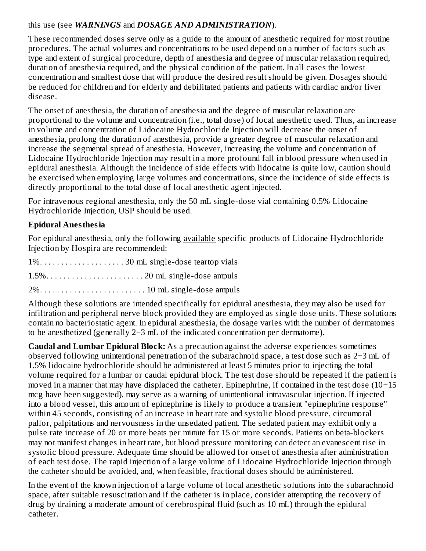### this use (see *WARNINGS* and *DOSAGE AND ADMINISTRATION*).

These recommended doses serve only as a guide to the amount of anesthetic required for most routine procedures. The actual volumes and concentrations to be used depend on a number of factors such as type and extent of surgical procedure, depth of anesthesia and degree of muscular relaxation required, duration of anesthesia required, and the physical condition of the patient. In all cases the lowest concentration and smallest dose that will produce the desired result should be given. Dosages should be reduced for children and for elderly and debilitated patients and patients with cardiac and/or liver disease.

The onset of anesthesia, the duration of anesthesia and the degree of muscular relaxation are proportional to the volume and concentration (i.e., total dose) of local anesthetic used. Thus, an increase in volume and concentration of Lidocaine Hydrochloride Injection will decrease the onset of anesthesia, prolong the duration of anesthesia, provide a greater degree of muscular relaxation and increase the segmental spread of anesthesia. However, increasing the volume and concentration of Lidocaine Hydrochloride Injection may result in a more profound fall in blood pressure when used in epidural anesthesia. Although the incidence of side effects with lidocaine is quite low, caution should be exercised when employing large volumes and concentrations, since the incidence of side effects is directly proportional to the total dose of local anesthetic agent injected.

For intravenous regional anesthesia, only the 50 mL single-dose vial containing 0.5% Lidocaine Hydrochloride Injection, USP should be used.

### **Epidural Anesthesia**

For epidural anesthesia, only the following available specific products of Lidocaine Hydrochloride Injection by Hospira are recommended:

Although these solutions are intended specifically for epidural anesthesia, they may also be used for infiltration and peripheral nerve block provided they are employed as single dose units. These solutions contain no bacteriostatic agent. In epidural anesthesia, the dosage varies with the number of dermatomes to be anesthetized (generally 2−3 mL of the indicated concentration per dermatome).

**Caudal and Lumbar Epidural Block:** As a precaution against the adverse experiences sometimes observed following unintentional penetration of the subarachnoid space, a test dose such as 2−3 mL of 1.5% lidocaine hydrochloride should be administered at least 5 minutes prior to injecting the total volume required for a lumbar or caudal epidural block. The test dose should be repeated if the patient is moved in a manner that may have displaced the catheter. Epinephrine, if contained in the test dose (10−15 mcg have been suggested), may serve as a warning of unintentional intravascular injection. If injected into a blood vessel, this amount of epinephrine is likely to produce a transient "epinephrine response" within 45 seconds, consisting of an increase in heart rate and systolic blood pressure, circumoral pallor, palpitations and nervousness in the unsedated patient. The sedated patient may exhibit only a pulse rate increase of 20 or more beats per minute for 15 or more seconds. Patients on beta-blockers may not manifest changes in heart rate, but blood pressure monitoring can detect an evanescent rise in systolic blood pressure. Adequate time should be allowed for onset of anesthesia after administration of each test dose. The rapid injection of a large volume of Lidocaine Hydrochloride Injection through the catheter should be avoided, and, when feasible, fractional doses should be administered.

In the event of the known injection of a large volume of local anesthetic solutions into the subarachnoid space, after suitable resuscitation and if the catheter is in place, consider attempting the recovery of drug by draining a moderate amount of cerebrospinal fluid (such as 10 mL) through the epidural catheter.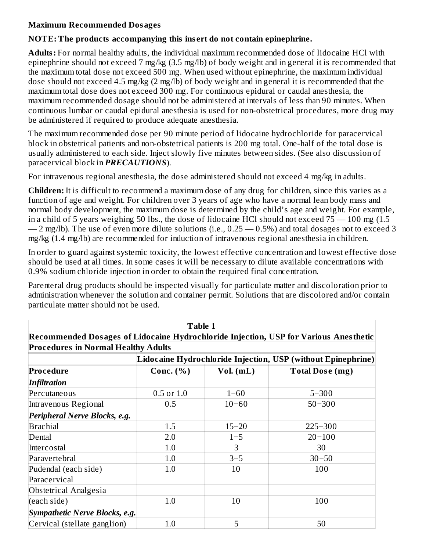### **Maximum Recommended Dosages**

## **NOTE: The products accompanying this ins ert do not contain epinephrine.**

**Adults:** For normal healthy adults, the individual maximum recommended dose of lidocaine HCl with epinephrine should not exceed 7 mg/kg (3.5 mg/lb) of body weight and in general it is recommended that the maximum total dose not exceed 500 mg. When used without epinephrine, the maximum individual dose should not exceed 4.5 mg/kg (2 mg/lb) of body weight and in general it is recommended that the maximum total dose does not exceed 300 mg. For continuous epidural or caudal anesthesia, the maximum recommended dosage should not be administered at intervals of less than 90 minutes. When continuous lumbar or caudal epidural anesthesia is used for non-obstetrical procedures, more drug may be administered if required to produce adequate anesthesia.

The maximum recommended dose per 90 minute period of lidocaine hydrochloride for paracervical block in obstetrical patients and non-obstetrical patients is 200 mg total. One-half of the total dose is usually administered to each side. Inject slowly five minutes between sides. (See also discussion of paracervical block in *PRECAUTIONS*).

For intravenous regional anesthesia, the dose administered should not exceed 4 mg/kg in adults.

**Children:** It is difficult to recommend a maximum dose of any drug for children, since this varies as a function of age and weight. For children over 3 years of age who have a normal lean body mass and normal body development, the maximum dose is determined by the child's age and weight. For example, in a child of 5 years weighing 50 lbs., the dose of lidocaine HCl should not exceed 75 — 100 mg (1.5  $-2$  mg/lb). The use of even more dilute solutions (i.e., 0.25  $-$  0.5%) and total dosages not to exceed 3 mg/kg (1.4 mg/lb) are recommended for induction of intravenous regional anesthesia in children.

In order to guard against systemic toxicity, the lowest effective concentration and lowest effective dose should be used at all times. In some cases it will be necessary to dilute available concentrations with 0.9% sodium chloride injection in order to obtain the required final concentration.

Parenteral drug products should be inspected visually for particulate matter and discoloration prior to administration whenever the solution and container permit. Solutions that are discolored and/or contain particulate matter should not be used.

| Table 1                                                                              |               |           |                                                              |  |  |  |  |
|--------------------------------------------------------------------------------------|---------------|-----------|--------------------------------------------------------------|--|--|--|--|
| Recommended Dosages of Lidocaine Hydrochloride Injection, USP for Various Anesthetic |               |           |                                                              |  |  |  |  |
| <b>Procedures in Normal Healthy Adults</b>                                           |               |           |                                                              |  |  |  |  |
|                                                                                      |               |           | Lidocaine Hydrochloride Injection, USP (without Epinephrine) |  |  |  |  |
| Procedure                                                                            | Conc. $(\% )$ | Vol. (mL) | <b>Total Dose (mg)</b>                                       |  |  |  |  |
| Infiltration                                                                         |               |           |                                                              |  |  |  |  |
| Percutaneous                                                                         | 0.5 or 1.0    | $1 - 60$  | $5 - 300$                                                    |  |  |  |  |
| Intravenous Regional                                                                 | 0.5           | $10 - 60$ | $50 - 300$                                                   |  |  |  |  |
| Peripheral Nerve Blocks, e.g.                                                        |               |           |                                                              |  |  |  |  |
| <b>Brachial</b>                                                                      | 1.5           | $15 - 20$ | $225 - 300$                                                  |  |  |  |  |
| Dental                                                                               | 2.0           | $1 - 5$   | $20 - 100$                                                   |  |  |  |  |
| Intercostal                                                                          | 1.0           | 3         | 30                                                           |  |  |  |  |
| Paravertebral                                                                        | 1.0           | $3 - 5$   | $30 - 50$                                                    |  |  |  |  |
| Pudendal (each side)                                                                 | 1.0           | 10        | 100                                                          |  |  |  |  |
| Paracervical                                                                         |               |           |                                                              |  |  |  |  |
| Obstetrical Analgesia                                                                |               |           |                                                              |  |  |  |  |
| (each side)                                                                          | 1.0           | 10        | 100                                                          |  |  |  |  |
| Sympathetic Nerve Blocks, e.g.                                                       |               |           |                                                              |  |  |  |  |
| Cervical (stellate ganglion)                                                         | 1.0           | 5         | 50                                                           |  |  |  |  |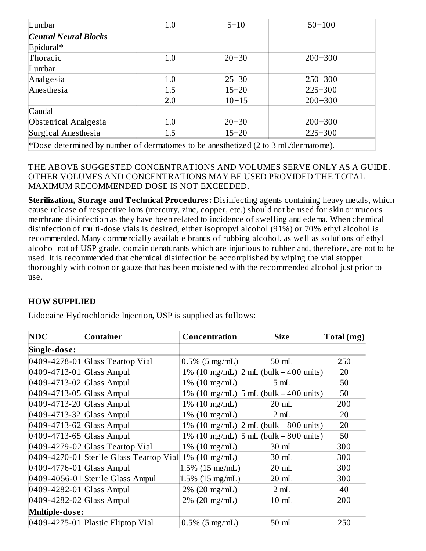| Lumbar                                                                                                | 1.0 | $5 - 10$  | $50 - 100$  |  |
|-------------------------------------------------------------------------------------------------------|-----|-----------|-------------|--|
| <b>Central Neural Blocks</b>                                                                          |     |           |             |  |
| Epidural*                                                                                             |     |           |             |  |
| Thoracic                                                                                              | 1.0 | $20 - 30$ | $200 - 300$ |  |
| Lumbar                                                                                                |     |           |             |  |
| Analgesia                                                                                             | 1.0 | $25 - 30$ | $250 - 300$ |  |
| Anesthesia                                                                                            | 1.5 | $15 - 20$ | $225 - 300$ |  |
|                                                                                                       | 2.0 | $10 - 15$ | $200 - 300$ |  |
| Caudal                                                                                                |     |           |             |  |
| Obstetrical Analgesia                                                                                 | 1.0 | $20 - 30$ | $200 - 300$ |  |
| Surgical Anesthesia                                                                                   | 1.5 | $15 - 20$ | $225 - 300$ |  |
| *Dose determined by number of dermatomes to be anesthetized $(2 \text{ to } 3 \text{ mL/dermatome}).$ |     |           |             |  |

THE ABOVE SUGGESTED CONCENTRATIONS AND VOLUMES SERVE ONLY AS A GUIDE. OTHER VOLUMES AND CONCENTRATIONS MAY BE USED PROVIDED THE TOTAL MAXIMUM RECOMMENDED DOSE IS NOT EXCEEDED.

**Sterilization, Storage and Technical Procedures:** Disinfecting agents containing heavy metals, which cause release of respective ions (mercury, zinc, copper, etc.) should not be used for skin or mucous membrane disinfection as they have been related to incidence of swelling and edema. When chemical disinfection of multi-dose vials is desired, either isopropyl alcohol (91%) or 70% ethyl alcohol is recommended. Many commercially available brands of rubbing alcohol, as well as solutions of ethyl alcohol not of USP grade, contain denaturants which are injurious to rubber and, therefore, are not to be used. It is recommended that chemical disinfection be accomplished by wiping the vial stopper thoroughly with cotton or gauze that has been moistened with the recommended alcohol just prior to use.

### **HOW SUPPLIED**

Lidocaine Hydrochloride Injection, USP is supplied as follows:

| <b>NDC</b>               | <b>Container</b>                        | <b>Concentration</b> | <b>Size</b>                                      | Total (mg) |
|--------------------------|-----------------------------------------|----------------------|--------------------------------------------------|------------|
| Single-dose:             |                                         |                      |                                                  |            |
|                          | $0409 - 4278 - 01$ Glass Teartop Vial   | $0.5\%$ (5 mg/mL)    | $50$ mL                                          | 250        |
| 0409-4713-01 Glass Ampul |                                         | $1\%$ (10 mg/mL)     | $2$ mL (bulk – 400 units)                        | 20         |
| 0409-4713-02 Glass Ampul |                                         | $1\%$ (10 mg/mL)     | 5 <sub>mL</sub>                                  | 50         |
| 0409-4713-05 Glass Ampul |                                         |                      | 1% (10 mg/mL) $ 5 \text{ mL}$ (bulk – 400 units) | 50         |
| 0409-4713-20 Glass Ampul |                                         | $1\%$ (10 mg/mL)     | $20$ mL                                          | 200        |
| 0409-4713-32 Glass Ampul |                                         | $1\%$ (10 mg/mL)     | 2 mL                                             | 20         |
| 0409-4713-62 Glass Ampul |                                         | $1\%$ (10 mg/mL)     | $\vert 2$ mL (bulk – 800 units)                  | 20         |
| 0409-4713-65 Glass Ampul |                                         |                      | 1% (10 mg/mL) $ 5 \text{ mL}$ (bulk – 800 units) | 50         |
|                          | $0409 - 4279 - 02$ Glass Teartop Vial   | $1\%$ (10 mg/mL)     | $30$ mL                                          | 300        |
|                          | 0409-4270-01 Sterile Glass Teartop Vial | $1\%$ (10 mg/mL)     | $30$ mL                                          | 300        |
| 0409-4776-01 Glass Ampul |                                         | $1.5\%$ (15 mg/mL)   | $20$ mL                                          | 300        |
|                          | $0409 - 4056 - 01$ Sterile Glass Ampul  | $1.5\%$ (15 mg/mL)   | $20 \text{ mL}$                                  | 300        |
| 0409-4282-01 Glass Ampul |                                         | 2% (20 mg/mL)        | 2 mL                                             | 40         |
| 0409-4282-02 Glass Ampul |                                         | $2\%$ (20 mg/mL)     | $10$ mL                                          | 200        |
| Multiple-dose:           |                                         |                      |                                                  |            |
|                          | 0409-4275-01 Plastic Fliptop Vial       | $0.5\%$ (5 mg/mL)    | $50$ mL                                          | 250        |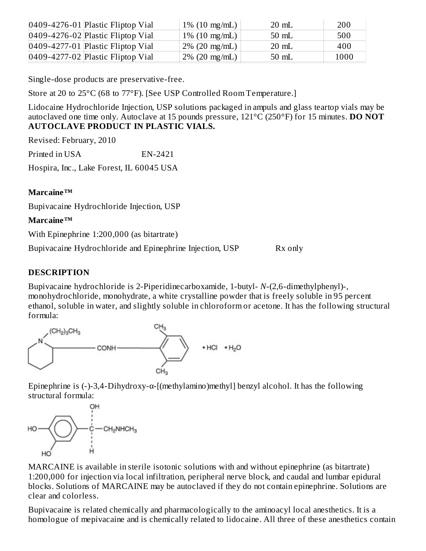| 0409-4276-01 Plastic Fliptop Vial     | $1\%$ (10 mg/mL) | $20 \text{ mL}$ | 200  |
|---------------------------------------|------------------|-----------------|------|
| $[0409-4276-02]$ Plastic Fliptop Vial | $1\%$ (10 mg/mL) | 50 mL           | 500  |
| $[0409-4277-01]$ Plastic Fliptop Vial | $2\%$ (20 mg/mL) | $20 \text{ mL}$ | 400  |
| $[0409-4277-02]$ Plastic Fliptop Vial | $2\%$ (20 mg/mL) | .50 mL          | 1000 |

Single-dose products are preservative-free.

Store at 20 to 25°C (68 to 77°F). [See USP Controlled Room Temperature.]

Lidocaine Hydrochloride Injection, USP solutions packaged in ampuls and glass teartop vials may be autoclaved one time only. Autoclave at 15 pounds pressure, 121°C (250°F) for 15 minutes. **DO NOT AUTOCLAVE PRODUCT IN PLASTIC VIALS.**

Revised: February, 2010

Printed in USA EN-2421

Hospira, Inc., Lake Forest, IL 60045 USA

### **Marcaine™**

Bupivacaine Hydrochloride Injection, USP

### **Marcaine™**

With Epinephrine 1:200,000 (as bitartrate)

Bupivacaine Hydrochloride and Epinephrine Injection, USP Rx only

## **DESCRIPTION**

Bupivacaine hydrochloride is 2-Piperidinecarboxamide, 1-butyl- *N*-(2,6-dimethylphenyl)-, monohydrochloride, monohydrate, a white crystalline powder that is freely soluble in 95 percent ethanol, soluble in water, and slightly soluble in chloroform or acetone. It has the following structural formula:



Epinephrine is  $(-)$ -3,4-Dihydroxy- $\alpha$ -[(methylamino)methyl] benzyl alcohol. It has the following structural formula:



MARCAINE is available in sterile isotonic solutions with and without epinephrine (as bitartrate) 1:200,000 for injection via local infiltration, peripheral nerve block, and caudal and lumbar epidural blocks. Solutions of MARCAINE may be autoclaved if they do not contain epinephrine. Solutions are clear and colorless.

Bupivacaine is related chemically and pharmacologically to the aminoacyl local anesthetics. It is a homologue of mepivacaine and is chemically related to lidocaine. All three of these anesthetics contain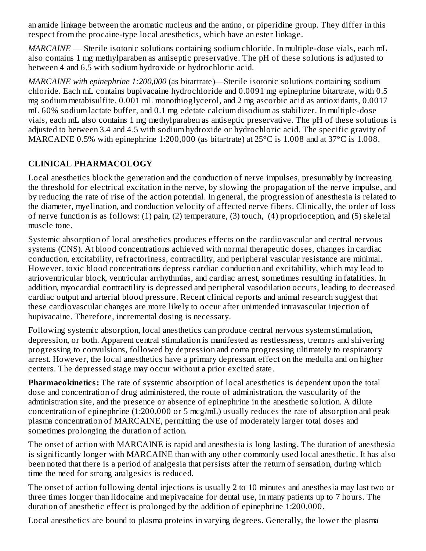an amide linkage between the aromatic nucleus and the amino, or piperidine group. They differ in this respect from the procaine-type local anesthetics, which have an ester linkage.

*MARCAINE* — Sterile isotonic solutions containing sodium chloride. In multiple-dose vials, each mL also contains 1 mg methylparaben as antiseptic preservative. The pH of these solutions is adjusted to between 4 and 6.5 with sodium hydroxide or hydrochloric acid.

*MARCAINE with epinephrine 1:200,000* (as bitartrate)—Sterile isotonic solutions containing sodium chloride. Each mL contains bupivacaine hydrochloride and 0.0091 mg epinephrine bitartrate, with 0.5 mg sodium metabisulfite, 0.001 mL monothioglycerol, and 2 mg ascorbic acid as antioxidants, 0.0017 mL 60% sodium lactate buffer, and 0.1 mg edetate calcium disodium as stabilizer. In multiple-dose vials, each mL also contains 1 mg methylparaben as antiseptic preservative. The pH of these solutions is adjusted to between 3.4 and 4.5 with sodium hydroxide or hydrochloric acid. The specific gravity of MARCAINE 0.5% with epinephrine 1:200,000 (as bitartrate) at 25°C is 1.008 and at 37°C is 1.008.

### **CLINICAL PHARMACOLOGY**

Local anesthetics block the generation and the conduction of nerve impulses, presumably by increasing the threshold for electrical excitation in the nerve, by slowing the propagation of the nerve impulse, and by reducing the rate of rise of the action potential. In general, the progression of anesthesia is related to the diameter, myelination, and conduction velocity of affected nerve fibers. Clinically, the order of loss of nerve function is as follows: (1) pain, (2) temperature, (3) touch, (4) proprioception, and (5) skeletal muscle tone.

Systemic absorption of local anesthetics produces effects on the cardiovascular and central nervous systems (CNS). At blood concentrations achieved with normal therapeutic doses, changes in cardiac conduction, excitability, refractoriness, contractility, and peripheral vascular resistance are minimal. However, toxic blood concentrations depress cardiac conduction and excitability, which may lead to atrioventricular block, ventricular arrhythmias, and cardiac arrest, sometimes resulting in fatalities. In addition, myocardial contractility is depressed and peripheral vasodilation occurs, leading to decreased cardiac output and arterial blood pressure. Recent clinical reports and animal research suggest that these cardiovascular changes are more likely to occur after unintended intravascular injection of bupivacaine. Therefore, incremental dosing is necessary.

Following systemic absorption, local anesthetics can produce central nervous system stimulation, depression, or both. Apparent central stimulation is manifested as restlessness, tremors and shivering progressing to convulsions, followed by depression and coma progressing ultimately to respiratory arrest. However, the local anesthetics have a primary depressant effect on the medulla and on higher centers. The depressed stage may occur without a prior excited state.

**Pharmacokinetics:** The rate of systemic absorption of local anesthetics is dependent upon the total dose and concentration of drug administered, the route of administration, the vascularity of the administration site, and the presence or absence of epinephrine in the anesthetic solution. A dilute concentration of epinephrine (1:200,000 or 5 mcg/mL) usually reduces the rate of absorption and peak plasma concentration of MARCAINE, permitting the use of moderately larger total doses and sometimes prolonging the duration of action.

The onset of action with MARCAINE is rapid and anesthesia is long lasting. The duration of anesthesia is significantly longer with MARCAINE than with any other commonly used local anesthetic. It has also been noted that there is a period of analgesia that persists after the return of sensation, during which time the need for strong analgesics is reduced.

The onset of action following dental injections is usually 2 to 10 minutes and anesthesia may last two or three times longer than lidocaine and mepivacaine for dental use, in many patients up to 7 hours. The duration of anesthetic effect is prolonged by the addition of epinephrine 1:200,000.

Local anesthetics are bound to plasma proteins in varying degrees. Generally, the lower the plasma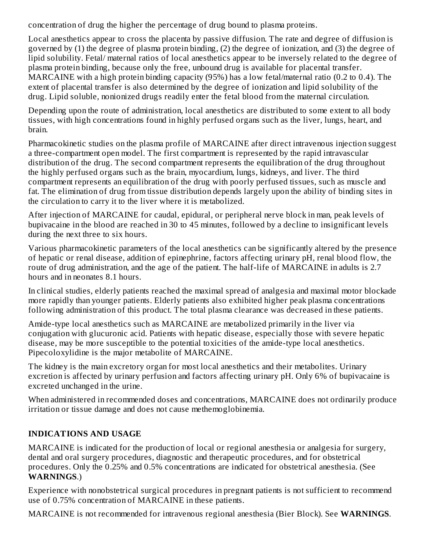concentration of drug the higher the percentage of drug bound to plasma proteins.

Local anesthetics appear to cross the placenta by passive diffusion. The rate and degree of diffusion is governed by (1) the degree of plasma protein binding, (2) the degree of ionization, and (3) the degree of lipid solubility. Fetal/ maternal ratios of local anesthetics appear to be inversely related to the degree of plasma protein binding, because only the free, unbound drug is available for placental transfer. MARCAINE with a high protein binding capacity (95%) has a low fetal/maternal ratio (0.2 to 0.4). The extent of placental transfer is also determined by the degree of ionization and lipid solubility of the drug. Lipid soluble, nonionized drugs readily enter the fetal blood from the maternal circulation.

Depending upon the route of administration, local anesthetics are distributed to some extent to all body tissues, with high concentrations found in highly perfused organs such as the liver, lungs, heart, and brain.

Pharmacokinetic studies on the plasma profile of MARCAINE after direct intravenous injection suggest a three-compartment open model. The first compartment is represented by the rapid intravascular distribution of the drug. The second compartment represents the equilibration of the drug throughout the highly perfused organs such as the brain, myocardium, lungs, kidneys, and liver. The third compartment represents an equilibration of the drug with poorly perfused tissues, such as muscle and fat. The elimination of drug from tissue distribution depends largely upon the ability of binding sites in the circulation to carry it to the liver where it is metabolized.

After injection of MARCAINE for caudal, epidural, or peripheral nerve block in man, peak levels of bupivacaine in the blood are reached in 30 to 45 minutes, followed by a decline to insignificant levels during the next three to six hours.

Various pharmacokinetic parameters of the local anesthetics can be significantly altered by the presence of hepatic or renal disease, addition of epinephrine, factors affecting urinary pH, renal blood flow, the route of drug administration, and the age of the patient. The half-life of MARCAINE in adults is 2.7 hours and in neonates 8.1 hours.

In clinical studies, elderly patients reached the maximal spread of analgesia and maximal motor blockade more rapidly than younger patients. Elderly patients also exhibited higher peak plasma concentrations following administration of this product. The total plasma clearance was decreased in these patients.

Amide-type local anesthetics such as MARCAINE are metabolized primarily in the liver via conjugation with glucuronic acid. Patients with hepatic disease, especially those with severe hepatic disease, may be more susceptible to the potential toxicities of the amide-type local anesthetics. Pipecoloxylidine is the major metabolite of MARCAINE.

The kidney is the main excretory organ for most local anesthetics and their metabolites. Urinary excretion is affected by urinary perfusion and factors affecting urinary pH. Only 6% of bupivacaine is excreted unchanged in the urine.

When administered in recommended doses and concentrations, MARCAINE does not ordinarily produce irritation or tissue damage and does not cause methemoglobinemia.

## **INDICATIONS AND USAGE**

MARCAINE is indicated for the production of local or regional anesthesia or analgesia for surgery, dental and oral surgery procedures, diagnostic and therapeutic procedures, and for obstetrical procedures. Only the 0.25% and 0.5% concentrations are indicated for obstetrical anesthesia. (See **WARNINGS**.)

Experience with nonobstetrical surgical procedures in pregnant patients is not sufficient to recommend use of 0.75% concentration of MARCAINE in these patients.

MARCAINE is not recommended for intravenous regional anesthesia (Bier Block). See **WARNINGS**.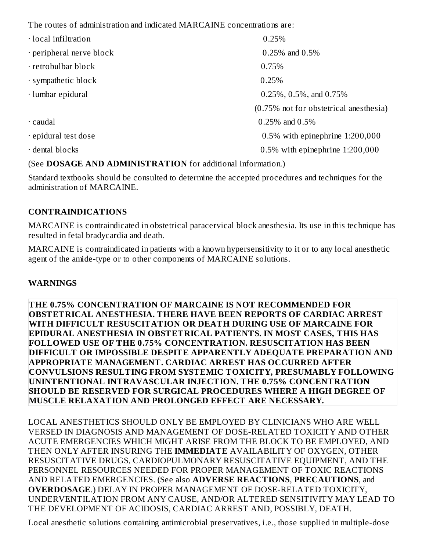The routes of administration and indicated MARCAINE concentrations are:

| $\cdot$ local infiltration     | 0.25%                                  |
|--------------------------------|----------------------------------------|
| $\cdot$ peripheral nerve block | $0.25\%$ and $0.5\%$                   |
| $\cdot$ retrobulbar block      | 0.75%                                  |
| · sympathetic block            | 0.25%                                  |
| $\cdot$ lumbar epidural        | $0.25\%$ , $0.5\%$ , and $0.75\%$      |
|                                | (0.75% not for obstetrical anesthesia) |
| · caudal                       | $0.25\%$ and $0.5\%$                   |
| $\cdot$ epidural test dose     | $0.5\%$ with epinephrine 1:200,000     |
| $\cdot$ dental blocks          | $0.5\%$ with epinephrine 1:200,000     |
|                                |                                        |

### (See **DOSAGE AND ADMINISTRATION** for additional information.)

Standard textbooks should be consulted to determine the accepted procedures and techniques for the administration of MARCAINE.

### **CONTRAINDICATIONS**

MARCAINE is contraindicated in obstetrical paracervical block anesthesia. Its use in this technique has resulted in fetal bradycardia and death.

MARCAINE is contraindicated in patients with a known hypersensitivity to it or to any local anesthetic agent of the amide-type or to other components of MARCAINE solutions.

## **WARNINGS**

**THE 0.75% CONCENTRATION OF MARCAINE IS NOT RECOMMENDED FOR OBSTETRICAL ANESTHESIA. THERE HAVE BEEN REPORTS OF CARDIAC ARREST WITH DIFFICULT RESUSCITATION OR DEATH DURING USE OF MARCAINE FOR EPIDURAL ANESTHESIA IN OBSTETRICAL PATIENTS. IN MOST CASES, THIS HAS FOLLOWED USE OF THE 0.75% CONCENTRATION. RESUSCITATION HAS BEEN DIFFICULT OR IMPOSSIBLE DESPITE APPARENTLY ADEQUATE PREPARATION AND APPROPRIATE MANAGEMENT. CARDIAC ARREST HAS OCCURRED AFTER CONVULSIONS RESULTING FROM SYSTEMIC TOXICITY, PRESUMABLY FOLLOWING UNINTENTIONAL INTRAVASCULAR INJECTION. THE 0.75% CONCENTRATION SHOULD BE RESERVED FOR SURGICAL PROCEDURES WHERE A HIGH DEGREE OF MUSCLE RELAXATION AND PROLONGED EFFECT ARE NECESSARY.**

LOCAL ANESTHETICS SHOULD ONLY BE EMPLOYED BY CLINICIANS WHO ARE WELL VERSED IN DIAGNOSIS AND MANAGEMENT OF DOSE-RELATED TOXICITY AND OTHER ACUTE EMERGENCIES WHICH MIGHT ARISE FROM THE BLOCK TO BE EMPLOYED, AND THEN ONLY AFTER INSURING THE **IMMEDIATE** AVAILABILITY OF OXYGEN, OTHER RESUSCITATIVE DRUGS, CARDIOPULMONARY RESUSCITATIVE EQUIPMENT, AND THE PERSONNEL RESOURCES NEEDED FOR PROPER MANAGEMENT OF TOXIC REACTIONS AND RELATED EMERGENCIES. (See also **ADVERSE REACTIONS**, **PRECAUTIONS**, and **OVERDOSAGE**.) DELAY IN PROPER MANAGEMENT OF DOSE-RELATED TOXICITY, UNDERVENTILATION FROM ANY CAUSE, AND/OR ALTERED SENSITIVITY MAY LEAD TO THE DEVELOPMENT OF ACIDOSIS, CARDIAC ARREST AND, POSSIBLY, DEATH.

Local anesthetic solutions containing antimicrobial preservatives, i.e., those supplied in multiple-dose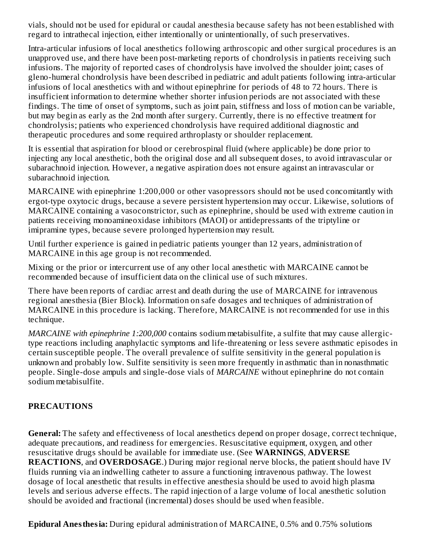vials, should not be used for epidural or caudal anesthesia because safety has not been established with regard to intrathecal injection, either intentionally or unintentionally, of such preservatives.

Intra-articular infusions of local anesthetics following arthroscopic and other surgical procedures is an unapproved use, and there have been post-marketing reports of chondrolysis in patients receiving such infusions. The majority of reported cases of chondrolysis have involved the shoulder joint; cases of gleno-humeral chondrolysis have been described in pediatric and adult patients following intra-articular infusions of local anesthetics with and without epinephrine for periods of 48 to 72 hours. There is insufficient information to determine whether shorter infusion periods are not associated with these findings. The time of onset of symptoms, such as joint pain, stiffness and loss of motion can be variable, but may begin as early as the 2nd month after surgery. Currently, there is no effective treatment for chondrolysis; patients who experienced chondrolysis have required additional diagnostic and therapeutic procedures and some required arthroplasty or shoulder replacement.

It is essential that aspiration for blood or cerebrospinal fluid (where applicable) be done prior to injecting any local anesthetic, both the original dose and all subsequent doses, to avoid intravascular or subarachnoid injection. However, a negative aspiration does not ensure against an intravascular or subarachnoid injection.

MARCAINE with epinephrine 1:200,000 or other vasopressors should not be used concomitantly with ergot-type oxytocic drugs, because a severe persistent hypertension may occur. Likewise, solutions of MARCAINE containing a vasoconstrictor, such as epinephrine, should be used with extreme caution in patients receiving monoamineoxidase inhibitors (MAOI) or antidepressants of the triptyline or imipramine types, because severe prolonged hypertension may result.

Until further experience is gained in pediatric patients younger than 12 years, administration of MARCAINE in this age group is not recommended.

Mixing or the prior or intercurrent use of any other local anesthetic with MARCAINE cannot be recommended because of insufficient data on the clinical use of such mixtures.

There have been reports of cardiac arrest and death during the use of MARCAINE for intravenous regional anesthesia (Bier Block). Information on safe dosages and techniques of administration of MARCAINE in this procedure is lacking. Therefore, MARCAINE is not recommended for use in this technique.

*MARCAINE with epinephrine 1:200,000* contains sodium metabisulfite, a sulfite that may cause allergictype reactions including anaphylactic symptoms and life-threatening or less severe asthmatic episodes in certain susceptible people. The overall prevalence of sulfite sensitivity in the general population is unknown and probably low. Sulfite sensitivity is seen more frequently in asthmatic than in nonasthmatic people. Single-dose ampuls and single-dose vials of *MARCAINE* without epinephrine do not contain sodium metabisulfite.

### **PRECAUTIONS**

**General:** The safety and effectiveness of local anesthetics depend on proper dosage, correct technique, adequate precautions, and readiness for emergencies. Resuscitative equipment, oxygen, and other resuscitative drugs should be available for immediate use. (See **WARNINGS**, **ADVERSE REACTIONS**, and **OVERDOSAGE**.) During major regional nerve blocks, the patient should have IV fluids running via an indwelling catheter to assure a functioning intravenous pathway. The lowest dosage of local anesthetic that results in effective anesthesia should be used to avoid high plasma levels and serious adverse effects. The rapid injection of a large volume of local anesthetic solution should be avoided and fractional (incremental) doses should be used when feasible.

**Epidural Anesthesia:** During epidural administration of MARCAINE, 0.5% and 0.75% solutions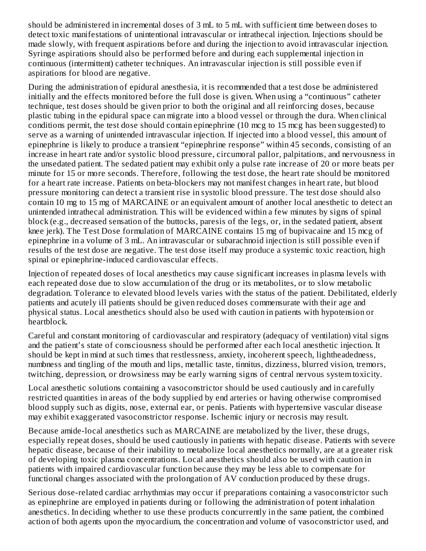should be administered in incremental doses of 3 mL to 5 mL with sufficient time between doses to detect toxic manifestations of unintentional intravascular or intrathecal injection. Injections should be made slowly, with frequent aspirations before and during the injection to avoid intravascular injection. Syringe aspirations should also be performed before and during each supplemental injection in continuous (intermittent) catheter techniques. An intravascular injection is still possible even if aspirations for blood are negative.

During the administration of epidural anesthesia, it is recommended that a test dose be administered initially and the effects monitored before the full dose is given. When using a "continuous" catheter technique, test doses should be given prior to both the original and all reinforcing doses, because plastic tubing in the epidural space can migrate into a blood vessel or through the dura. When clinical conditions permit, the test dose should contain epinephrine (10 mcg to 15 mcg has been suggested) to serve as a warning of unintended intravascular injection. If injected into a blood vessel, this amount of epinephrine is likely to produce a transient "epinephrine response" within 45 seconds, consisting of an increase in heart rate and/or systolic blood pressure, circumoral pallor, palpitations, and nervousness in the unsedated patient. The sedated patient may exhibit only a pulse rate increase of 20 or more beats per minute for 15 or more seconds. Therefore, following the test dose, the heart rate should be monitored for a heart rate increase. Patients on beta-blockers may not manifest changes in heart rate, but blood pressure monitoring can detect a transient rise in systolic blood pressure. The test dose should also contain 10 mg to 15 mg of MARCAINE or an equivalent amount of another local anesthetic to detect an unintended intrathecal administration. This will be evidenced within a few minutes by signs of spinal block (e.g., decreased sensation of the buttocks, paresis of the legs, or, in the sedated patient, absent knee jerk). The Test Dose formulation of MARCAINE contains 15 mg of bupivacaine and 15 mcg of epinephrine in a volume of 3 mL. An intravascular or subarachnoid injection is still possible even if results of the test dose are negative. The test dose itself may produce a systemic toxic reaction, high spinal or epinephrine-induced cardiovascular effects.

Injection of repeated doses of local anesthetics may cause significant increases in plasma levels with each repeated dose due to slow accumulation of the drug or its metabolites, or to slow metabolic degradation. Tolerance to elevated blood levels varies with the status of the patient. Debilitated, elderly patients and acutely ill patients should be given reduced doses commensurate with their age and physical status. Local anesthetics should also be used with caution in patients with hypotension or heartblock.

Careful and constant monitoring of cardiovascular and respiratory (adequacy of ventilation) vital signs and the patient's state of consciousness should be performed after each local anesthetic injection. It should be kept in mind at such times that restlessness, anxiety, incoherent speech, lightheadedness, numbness and tingling of the mouth and lips, metallic taste, tinnitus, dizziness, blurred vision, tremors, twitching, depression, or drowsiness may be early warning signs of central nervous system toxicity.

Local anesthetic solutions containing a vasoconstrictor should be used cautiously and in carefully restricted quantities in areas of the body supplied by end arteries or having otherwise compromised blood supply such as digits, nose, external ear, or penis. Patients with hypertensive vascular disease may exhibit exaggerated vasoconstrictor response. Ischemic injury or necrosis may result.

Because amide-local anesthetics such as MARCAINE are metabolized by the liver, these drugs, especially repeat doses, should be used cautiously in patients with hepatic disease. Patients with severe hepatic disease, because of their inability to metabolize local anesthetics normally, are at a greater risk of developing toxic plasma concentrations. Local anesthetics should also be used with caution in patients with impaired cardiovascular function because they may be less able to compensate for functional changes associated with the prolongation of AV conduction produced by these drugs.

Serious dose-related cardiac arrhythmias may occur if preparations containing a vasoconstrictor such as epinephrine are employed in patients during or following the administration of potent inhalation anesthetics. In deciding whether to use these products concurrently in the same patient, the combined action of both agents upon the myocardium, the concentration and volume of vasoconstrictor used, and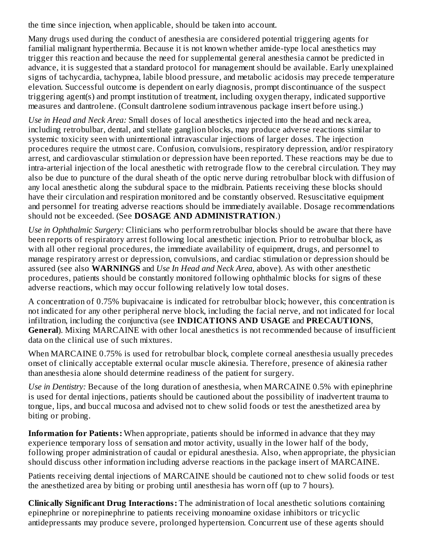the time since injection, when applicable, should be taken into account.

Many drugs used during the conduct of anesthesia are considered potential triggering agents for familial malignant hyperthermia. Because it is not known whether amide-type local anesthetics may trigger this reaction and because the need for supplemental general anesthesia cannot be predicted in advance, it is suggested that a standard protocol for management should be available. Early unexplained signs of tachycardia, tachypnea, labile blood pressure, and metabolic acidosis may precede temperature elevation. Successful outcome is dependent on early diagnosis, prompt discontinuance of the suspect triggering agent(s) and prompt institution of treatment, including oxygen therapy, indicated supportive measures and dantrolene. (Consult dantrolene sodium intravenous package insert before using.)

*Use in Head and Neck Area:* Small doses of local anesthetics injected into the head and neck area, including retrobulbar, dental, and stellate ganglion blocks, may produce adverse reactions similar to systemic toxicity seen with unintentional intravascular injections of larger doses. The injection procedures require the utmost care. Confusion, convulsions, respiratory depression, and/or respiratory arrest, and cardiovascular stimulation or depression have been reported. These reactions may be due to intra-arterial injection of the local anesthetic with retrograde flow to the cerebral circulation. They may also be due to puncture of the dural sheath of the optic nerve during retrobulbar block with diffusion of any local anesthetic along the subdural space to the midbrain. Patients receiving these blocks should have their circulation and respiration monitored and be constantly observed. Resuscitative equipment and personnel for treating adverse reactions should be immediately available. Dosage recommendations should not be exceeded. (See **DOSAGE AND ADMINISTRATION**.)

*Use in Ophthalmic Surgery:* Clinicians who perform retrobulbar blocks should be aware that there have been reports of respiratory arrest following local anesthetic injection. Prior to retrobulbar block, as with all other regional procedures, the immediate availability of equipment, drugs, and personnel to manage respiratory arrest or depression, convulsions, and cardiac stimulation or depression should be assured (see also **WARNINGS** and *Use In Head and Neck Area*, above). As with other anesthetic procedures, patients should be constantly monitored following ophthalmic blocks for signs of these adverse reactions, which may occur following relatively low total doses.

A concentration of 0.75% bupivacaine is indicated for retrobulbar block; however, this concentration is not indicated for any other peripheral nerve block, including the facial nerve, and not indicated for local infiltration, including the conjunctiva (see **INDICATIONS AND USAGE** and **PRECAUTIONS**, **General**). Mixing MARCAINE with other local anesthetics is not recommended because of insufficient data on the clinical use of such mixtures.

When MARCAINE 0.75% is used for retrobulbar block, complete corneal anesthesia usually precedes onset of clinically acceptable external ocular muscle akinesia. Therefore, presence of akinesia rather than anesthesia alone should determine readiness of the patient for surgery.

*Use in Dentistry:* Because of the long duration of anesthesia, when MARCAINE 0.5% with epinephrine is used for dental injections, patients should be cautioned about the possibility of inadvertent trauma to tongue, lips, and buccal mucosa and advised not to chew solid foods or test the anesthetized area by biting or probing.

**Information for Patients:** When appropriate, patients should be informed in advance that they may experience temporary loss of sensation and motor activity, usually in the lower half of the body, following proper administration of caudal or epidural anesthesia. Also, when appropriate, the physician should discuss other information including adverse reactions in the package insert of MARCAINE.

Patients receiving dental injections of MARCAINE should be cautioned not to chew solid foods or test the anesthetized area by biting or probing until anesthesia has worn off (up to 7 hours).

**Clinically Significant Drug Interactions:** The administration of local anesthetic solutions containing epinephrine or norepinephrine to patients receiving monoamine oxidase inhibitors or tricyclic antidepressants may produce severe, prolonged hypertension. Concurrent use of these agents should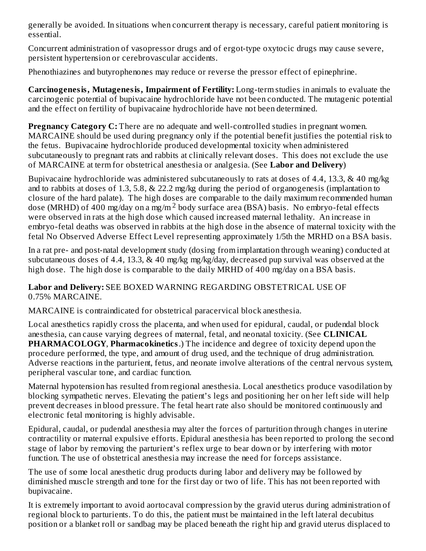generally be avoided. In situations when concurrent therapy is necessary, careful patient monitoring is essential.

Concurrent administration of vasopressor drugs and of ergot-type oxytocic drugs may cause severe, persistent hypertension or cerebrovascular accidents.

Phenothiazines and butyrophenones may reduce or reverse the pressor effect of epinephrine.

**Carcinogenesis, Mutagenesis, Impairment of Fertility:** Long-term studies in animals to evaluate the carcinogenic potential of bupivacaine hydrochloride have not been conducted. The mutagenic potential and the effect on fertility of bupivacaine hydrochloride have not been determined.

**Pregnancy Category C:** There are no adequate and well-controlled studies in pregnant women. MARCAINE should be used during pregnancy only if the potential benefit justifies the potential risk to the fetus. Bupivacaine hydrochloride produced developmental toxicity when administered subcutaneously to pregnant rats and rabbits at clinically relevant doses. This does not exclude the use of MARCAINE at term for obstetrical anesthesia or analgesia. (See **Labor and Delivery**)

Bupivacaine hydrochloride was administered subcutaneously to rats at doses of 4.4, 13.3, & 40 mg/kg and to rabbits at doses of 1.3, 5.8, & 22.2 mg/kg during the period of organogenesis (implantation to closure of the hard palate). The high doses are comparable to the daily maximum recommended human dose (MRHD) of 400 mg/day on a mg/m<sup>2</sup> body surface area (BSA) basis. No embryo-fetal effects were observed in rats at the high dose which caused increased maternal lethality. An increase in embryo-fetal deaths was observed in rabbits at the high dose in the absence of maternal toxicity with the fetal No Observed Adverse Effect Level representing approximately 1/5th the MRHD on a BSA basis.

In a rat pre- and post-natal development study (dosing from implantation through weaning) conducted at subcutaneous doses of 4.4, 13.3, & 40 mg/kg mg/kg/day, decreased pup survival was observed at the high dose. The high dose is comparable to the daily MRHD of 400 mg/day on a BSA basis.

**Labor and Delivery:** SEE BOXED WARNING REGARDING OBSTETRlCAL USE OF 0.75% MARCAINE.

MARCAINE is contraindicated for obstetrical paracervical block anesthesia.

Local anesthetics rapidly cross the placenta, and when used for epidural, caudal, or pudendal block anesthesia, can cause varying degrees of maternal, fetal, and neonatal toxicity. (See **CLINICAL PHARMACOLOGY**, **Pharmacokinetics**.) The incidence and degree of toxicity depend upon the procedure performed, the type, and amount of drug used, and the technique of drug administration. Adverse reactions in the parturient, fetus, and neonate involve alterations of the central nervous system, peripheral vascular tone, and cardiac function.

Maternal hypotension has resulted from regional anesthesia. Local anesthetics produce vasodilation by blocking sympathetic nerves. Elevating the patient's legs and positioning her on her left side will help prevent decreases in blood pressure. The fetal heart rate also should be monitored continuously and electronic fetal monitoring is highly advisable.

Epidural, caudal, or pudendal anesthesia may alter the forces of parturition through changes in uterine contractility or maternal expulsive efforts. Epidural anesthesia has been reported to prolong the second stage of labor by removing the parturient's reflex urge to bear down or by interfering with motor function. The use of obstetrical anesthesia may increase the need for forceps assistance.

The use of some local anesthetic drug products during labor and delivery may be followed by diminished muscle strength and tone for the first day or two of life. This has not been reported with bupivacaine.

It is extremely important to avoid aortocaval compression by the gravid uterus during administration of regional block to parturients. To do this, the patient must be maintained in the left lateral decubitus position or a blanket roll or sandbag may be placed beneath the right hip and gravid uterus displaced to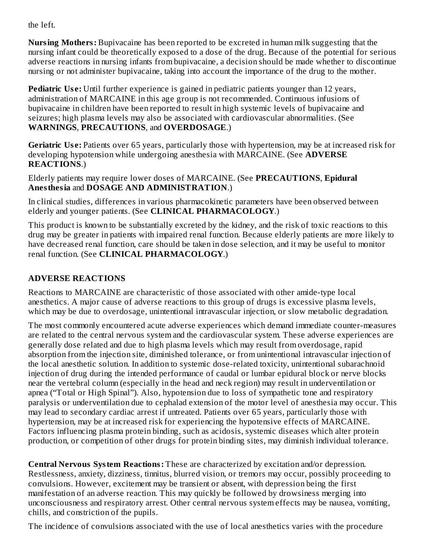the left.

**Nursing Mothers:** Bupivacaine has been reported to be excreted in human milk suggesting that the nursing infant could be theoretically exposed to a dose of the drug. Because of the potential for serious adverse reactions in nursing infants from bupivacaine, a decision should be made whether to discontinue nursing or not administer bupivacaine, taking into account the importance of the drug to the mother.

**Pediatric Use:** Until further experience is gained in pediatric patients younger than 12 years, administration of MARCAINE in this age group is not recommended. Continuous infusions of bupivacaine in children have been reported to result in high systemic levels of bupivacaine and seizures; high plasma levels may also be associated with cardiovascular abnormalities. (See **WARNINGS**, **PRECAUTIONS**, and **OVERDOSAGE**.)

**Geriatric** Use: Patients over 65 years, particularly those with hypertension, may be at increased risk for developing hypotension while undergoing anesthesia with MARCAINE. (See **ADVERSE REACTIONS**.)

Elderly patients may require lower doses of MARCAINE. (See **PRECAUTIONS**, **Epidural Anesthesia** and **DOSAGE AND ADMINISTRATION**.)

In clinical studies, differences in various pharmacokinetic parameters have been observed between elderly and younger patients. (See **CLINICAL PHARMACOLOGY**.)

This product is known to be substantially excreted by the kidney, and the risk of toxic reactions to this drug may be greater in patients with impaired renal function. Because elderly patients are more likely to have decreased renal function, care should be taken in dose selection, and it may be useful to monitor renal function. (See **CLINICAL PHARMACOLOGY**.)

## **ADVERSE REACTIONS**

Reactions to MARCAINE are characteristic of those associated with other amide-type local anesthetics. A major cause of adverse reactions to this group of drugs is excessive plasma levels, which may be due to overdosage, unintentional intravascular injection, or slow metabolic degradation.

The most commonly encountered acute adverse experiences which demand immediate counter-measures are related to the central nervous system and the cardiovascular system. These adverse experiences are generally dose related and due to high plasma levels which may result from overdosage, rapid absorption from the injection site, diminished tolerance, or from unintentional intravascular injection of the local anesthetic solution. In addition to systemic dose-related toxicity, unintentional subarachnoid injection of drug during the intended performance of caudal or lumbar epidural block or nerve blocks near the vertebral column (especially in the head and neck region) may result in underventilation or apnea ("Total or High Spinal"). Also, hypotension due to loss of sympathetic tone and respiratory paralysis or underventilation due to cephalad extension of the motor level of anesthesia may occur. This may lead to secondary cardiac arrest if untreated. Patients over 65 years, particularly those with hypertension, may be at increased risk for experiencing the hypotensive effects of MARCAINE. Factors influencing plasma protein binding, such as acidosis, systemic diseases which alter protein production, or competition of other drugs for protein binding sites, may diminish individual tolerance.

**Central Nervous System Reactions:** These are characterized by excitation and/or depression. Restlessness, anxiety, dizziness, tinnitus, blurred vision, or tremors may occur, possibly proceeding to convulsions. However, excitement may be transient or absent, with depression being the first manifestation of an adverse reaction. This may quickly be followed by drowsiness merging into unconsciousness and respiratory arrest. Other central nervous system effects may be nausea, vomiting, chills, and constriction of the pupils.

The incidence of convulsions associated with the use of local anesthetics varies with the procedure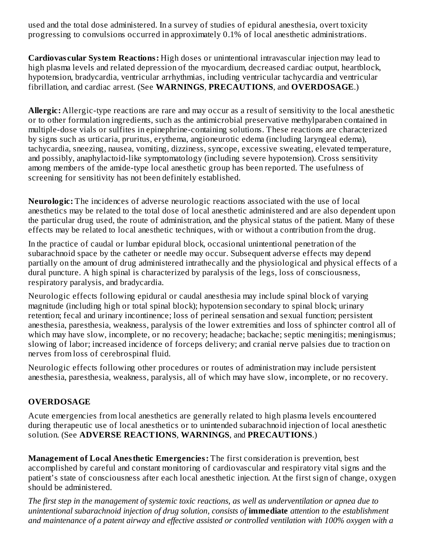used and the total dose administered. In a survey of studies of epidural anesthesia, overt toxicity progressing to convulsions occurred in approximately 0.1% of local anesthetic administrations.

**Cardiovas cular System Reactions:** High doses or unintentional intravascular injection may lead to high plasma levels and related depression of the myocardium, decreased cardiac output, heartblock, hypotension, bradycardia, ventricular arrhythmias, including ventricular tachycardia and ventricular fibrillation, and cardiac arrest. (See **WARNINGS**, **PRECAUTIONS**, and **OVERDOSAGE**.)

**Allergic:** Allergic-type reactions are rare and may occur as a result of sensitivity to the local anesthetic or to other formulation ingredients, such as the antimicrobial preservative methylparaben contained in multiple-dose vials or sulfites in epinephrine-containing solutions. These reactions are characterized by signs such as urticaria, pruritus, erythema, angioneurotic edema (including laryngeal edema), tachycardia, sneezing, nausea, vomiting, dizziness, syncope, excessive sweating, elevated temperature, and possibly, anaphylactoid-like symptomatology (including severe hypotension). Cross sensitivity among members of the amide-type local anesthetic group has been reported. The usefulness of screening for sensitivity has not been definitely established.

**Neurologic:** The incidences of adverse neurologic reactions associated with the use of local anesthetics may be related to the total dose of local anesthetic administered and are also dependent upon the particular drug used, the route of administration, and the physical status of the patient. Many of these effects may be related to local anesthetic techniques, with or without a contribution from the drug.

In the practice of caudal or lumbar epidural block, occasional unintentional penetration of the subarachnoid space by the catheter or needle may occur. Subsequent adverse effects may depend partially on the amount of drug administered intrathecally and the physiological and physical effects of a dural puncture. A high spinal is characterized by paralysis of the legs, loss of consciousness, respiratory paralysis, and bradycardia.

Neurologic effects following epidural or caudal anesthesia may include spinal block of varying magnitude (including high or total spinal block); hypotension secondary to spinal block; urinary retention; fecal and urinary incontinence; loss of perineal sensation and sexual function; persistent anesthesia, paresthesia, weakness, paralysis of the lower extremities and loss of sphincter control all of which may have slow, incomplete, or no recovery; headache; backache; septic meningitis; meningismus; slowing of labor; increased incidence of forceps delivery; and cranial nerve palsies due to traction on nerves from loss of cerebrospinal fluid.

Neurologic effects following other procedures or routes of administration may include persistent anesthesia, paresthesia, weakness, paralysis, all of which may have slow, incomplete, or no recovery.

### **OVERDOSAGE**

Acute emergencies from local anesthetics are generally related to high plasma levels encountered during therapeutic use of local anesthetics or to unintended subarachnoid injection of local anesthetic solution. (See **ADVERSE REACTIONS**, **WARNINGS**, and **PRECAUTIONS**.)

**Management of Local Anesthetic Emergencies:** The first consideration is prevention, best accomplished by careful and constant monitoring of cardiovascular and respiratory vital signs and the patient's state of consciousness after each local anesthetic injection. At the first sign of change, oxygen should be administered.

The first step in the management of systemic toxic reactions, as well as underventilation or apnea due to *unintentional subarachnoid injection of drug solution, consists of* **immediate** *attention to the establishment* and maintenance of a patent airway and effective assisted or controlled ventilation with 100% oxygen with a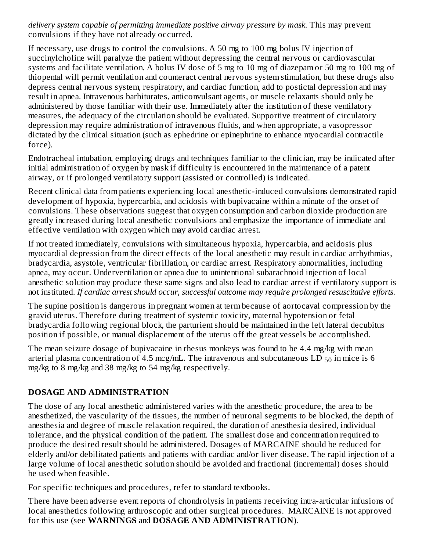*delivery system capable of permitting immediate positive airway pressure by mask.* This may prevent convulsions if they have not already occurred.

If necessary, use drugs to control the convulsions. A 50 mg to 100 mg bolus IV injection of succinylcholine will paralyze the patient without depressing the central nervous or cardiovascular systems and facilitate ventilation. A bolus IV dose of 5 mg to 10 mg of diazepam or 50 mg to 100 mg of thiopental will permit ventilation and counteract central nervous system stimulation, but these drugs also depress central nervous system, respiratory, and cardiac function, add to postictal depression and may result in apnea. Intravenous barbiturates, anticonvulsant agents, or muscle relaxants should only be administered by those familiar with their use. Immediately after the institution of these ventilatory measures, the adequacy of the circulation should be evaluated. Supportive treatment of circulatory depression may require administration of intravenous fluids, and when appropriate, a vasopressor dictated by the clinical situation (such as ephedrine or epinephrine to enhance myocardial contractile force).

Endotracheal intubation, employing drugs and techniques familiar to the clinician, may be indicated after initial administration of oxygen by mask if difficulty is encountered in the maintenance of a patent airway, or if prolonged ventilatory support (assisted or controlled) is indicated.

Recent clinical data from patients experiencing local anesthetic-induced convulsions demonstrated rapid development of hypoxia, hypercarbia, and acidosis with bupivacaine within a minute of the onset of convulsions. These observations suggest that oxygen consumption and carbon dioxide production are greatly increased during local anesthetic convulsions and emphasize the importance of immediate and effective ventilation with oxygen which may avoid cardiac arrest.

If not treated immediately, convulsions with simultaneous hypoxia, hypercarbia, and acidosis plus myocardial depression from the direct effects of the local anesthetic may result in cardiac arrhythmias, bradycardia, asystole, ventricular fibrillation, or cardiac arrest. Respiratory abnormalities, including apnea, may occur. Underventilation or apnea due to unintentional subarachnoid injection of local anesthetic solution may produce these same signs and also lead to cardiac arrest if ventilatory support is not instituted. *If cardiac arrest should occur, successful outcome may require prolonged resuscitative efforts.*

The supine position is dangerous in pregnant women at term because of aortocaval compression by the gravid uterus. Therefore during treatment of systemic toxicity, maternal hypotension or fetal bradycardia following regional block, the parturient should be maintained in the left lateral decubitus position if possible, or manual displacement of the uterus off the great vessels be accomplished.

The mean seizure dosage of bupivacaine in rhesus monkeys was found to be 4.4 mg/kg with mean arterial plasma concentration of 4.5 mcg/mL. The intravenous and subcutaneous LD  $_{50}$  in mice is 6 mg/kg to 8 mg/kg and 38 mg/kg to 54 mg/kg respectively.

### **DOSAGE AND ADMINISTRATION**

The dose of any local anesthetic administered varies with the anesthetic procedure, the area to be anesthetized, the vascularity of the tissues, the number of neuronal segments to be blocked, the depth of anesthesia and degree of muscle relaxation required, the duration of anesthesia desired, individual tolerance, and the physical condition of the patient. The smallest dose and concentration required to produce the desired result should be administered. Dosages of MARCAINE should be reduced for elderly and/or debilitated patients and patients with cardiac and/or liver disease. The rapid injection of a large volume of local anesthetic solution should be avoided and fractional (incremental) doses should be used when feasible.

For specific techniques and procedures, refer to standard textbooks.

There have been adverse event reports of chondrolysis in patients receiving intra-articular infusions of local anesthetics following arthroscopic and other surgical procedures. MARCAINE is not approved for this use (see **WARNINGS** and **DOSAGE AND ADMINISTRATION**).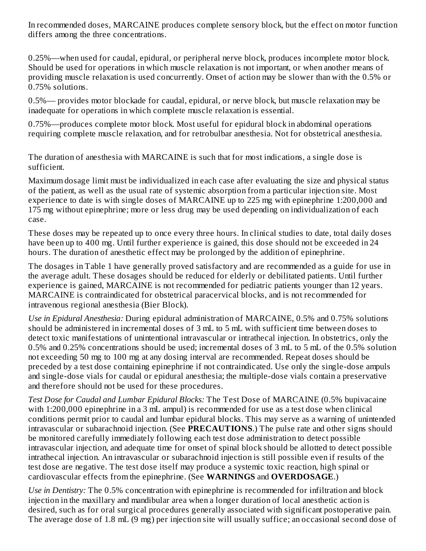In recommended doses, MARCAINE produces complete sensory block, but the effect on motor function differs among the three concentrations.

0.25%—when used for caudal, epidural, or peripheral nerve block, produces incomplete motor block. Should be used for operations in which muscle relaxation is not important, or when another means of providing muscle relaxation is used concurrently. Onset of action may be slower than with the 0.5% or 0.75% solutions.

0.5%— provides motor blockade for caudal, epidural, or nerve block, but muscle relaxation may be inadequate for operations in which complete muscle relaxation is essential.

0.75%—produces complete motor block. Most useful for epidural block in abdominal operations requiring complete muscle relaxation, and for retrobulbar anesthesia. Not for obstetrical anesthesia.

The duration of anesthesia with MARCAINE is such that for most indications, a single dose is sufficient.

Maximum dosage limit must be individualized in each case after evaluating the size and physical status of the patient, as well as the usual rate of systemic absorption from a particular injection site. Most experience to date is with single doses of MARCAINE up to 225 mg with epinephrine 1:200,000 and 175 mg without epinephrine; more or less drug may be used depending on individualization of each case.

These doses may be repeated up to once every three hours. In clinical studies to date, total daily doses have been up to 400 mg. Until further experience is gained, this dose should not be exceeded in 24 hours. The duration of anesthetic effect may be prolonged by the addition of epinephrine.

The dosages in Table 1 have generally proved satisfactory and are recommended as a guide for use in the average adult. These dosages should be reduced for elderly or debilitated patients. Until further experience is gained, MARCAINE is not recommended for pediatric patients younger than 12 years. MARCAINE is contraindicated for obstetrical paracervical blocks, and is not recommended for intravenous regional anesthesia (Bier Block).

*Use in Epidural Anesthesia:* During epidural administration of MARCAINE, 0.5% and 0.75% solutions should be administered in incremental doses of 3 mL to 5 mL with sufficient time between doses to detect toxic manifestations of unintentional intravascular or intrathecal injection. In obstetrics, only the 0.5% and 0.25% concentrations should be used; incremental doses of 3 mL to 5 mL of the 0.5% solution not exceeding 50 mg to 100 mg at any dosing interval are recommended. Repeat doses should be preceded by a test dose containing epinephrine if not contraindicated. Use only the single-dose ampuls and single-dose vials for caudal or epidural anesthesia; the multiple-dose vials contain a preservative and therefore should not be used for these procedures.

*Test Dose for Caudal and Lumbar Epidural Blocks:* The Test Dose of MARCAINE (0.5% bupivacaine with 1:200,000 epinephrine in a 3 mL ampul) is recommended for use as a test dose when clinical conditions permit prior to caudal and lumbar epidural blocks. This may serve as a warning of unintended intravascular or subarachnoid injection. (See **PRECAUTIONS**.) The pulse rate and other signs should be monitored carefully immediately following each test dose administration to detect possible intravascular injection, and adequate time for onset of spinal block should be allotted to detect possible intrathecal injection. An intravascular or subarachnoid injection is still possible even if results of the test dose are negative. The test dose itself may produce a systemic toxic reaction, high spinal or cardiovascular effects from the epinephrine. (See **WARNINGS** and **OVERDOSAGE**.)

*Use in Dentistry:* The 0.5% concentration with epinephrine is recommended for infiltration and block injection in the maxillary and mandibular area when a longer duration of local anesthetic action is desired, such as for oral surgical procedures generally associated with significant postoperative pain. The average dose of 1.8 mL (9 mg) per injection site will usually suffice; an occasional second dose of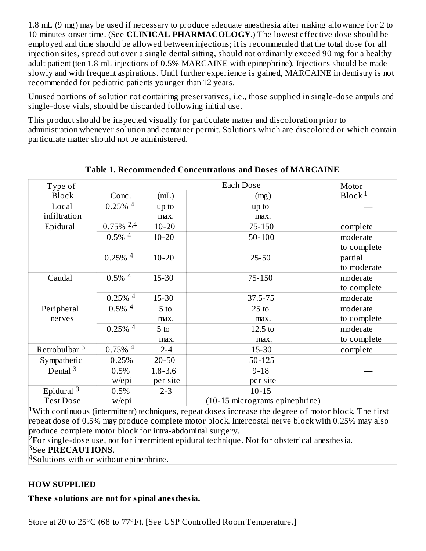1.8 mL (9 mg) may be used if necessary to produce adequate anesthesia after making allowance for 2 to 10 minutes onset time. (See **CLINICAL PHARMACOLOGY**.) The lowest effective dose should be employed and time should be allowed between injections; it is recommended that the total dose for all injection sites, spread out over a single dental sitting, should not ordinarily exceed 90 mg for a healthy adult patient (ten 1.8 mL injections of 0.5% MARCAINE with epinephrine). Injections should be made slowly and with frequent aspirations. Until further experience is gained, MARCAINE in dentistry is not recommended for pediatric patients younger than 12 years.

Unused portions of solution not containing preservatives, i.e., those supplied in single-dose ampuls and single-dose vials, should be discarded following initial use.

This product should be inspected visually for particulate matter and discoloration prior to administration whenever solution and container permit. Solutions which are discolored or which contain particulate matter should not be administered.

| Type of                  |                       |                 | Motor                          |                    |
|--------------------------|-----------------------|-----------------|--------------------------------|--------------------|
| <b>Block</b>             | Conc.                 | (mL)            | (mg)                           | Block <sup>1</sup> |
| Local                    | $0.25\%$ <sup>4</sup> | up to           | up to                          |                    |
| infiltration             |                       | max.            | max.                           |                    |
| Epidural                 | $0.75\sqrt{2.4}$      | $10 - 20$       | 75-150                         | complete           |
|                          | $0.5\%$ <sup>4</sup>  | $10 - 20$       | $50 - 100$                     | moderate           |
|                          |                       |                 |                                | to complete        |
|                          | $0.25\%$ <sup>4</sup> | $10 - 20$       | $25 - 50$                      | partial            |
|                          |                       |                 |                                | to moderate        |
| Caudal                   | $0.5\%$ <sup>4</sup>  | $15 - 30$       | 75-150                         | moderate           |
|                          |                       |                 |                                | to complete        |
|                          | $0.25\%$ <sup>4</sup> | 15-30           | 37.5-75                        | moderate           |
| Peripheral               | $0.5\%$ <sup>4</sup>  | 5 <sub>to</sub> | $25$ to                        | moderate           |
| nerves                   |                       | max.            | max.                           | to complete        |
|                          | $0.25\%$ <sup>4</sup> | $5$ to          | $12.5$ to                      | moderate           |
|                          |                       | max.            | max.                           | to complete        |
| Retrobulbar <sup>3</sup> | $0.75\%$ <sup>4</sup> | $2 - 4$         | 15-30                          | complete           |
| Sympathetic              | 0.25%                 | $20 - 50$       | $50 - 125$                     |                    |
| Dental $3$               | 0.5%                  | $1.8 - 3.6$     | $9 - 18$                       |                    |
|                          | w/epi                 | per site        | per site                       |                    |
| Epidural $3$             | 0.5%                  | $2 - 3$         | $10 - 15$                      |                    |
| <b>Test Dose</b>         | w/epi                 |                 | (10-15 micrograms epinephrine) |                    |

**Table 1. Recommended Concentrations and Dos es of MARCAINE**

 $1$ With continuous (intermittent) techniques, repeat doses increase the degree of motor block. The first repeat dose of 0.5% may produce complete motor block. Intercostal nerve block with 0.25% may also produce complete motor block for intra-abdominal surgery.

 $2$  For single-dose use, not for intermittent epidural technique. Not for obstetrical anesthesia. See **PRECAUTIONS**. 3

<sup>4</sup>Solutions with or without epinephrine.

## **HOW SUPPLIED**

**Thes e solutions are not for spinal anesthesia.**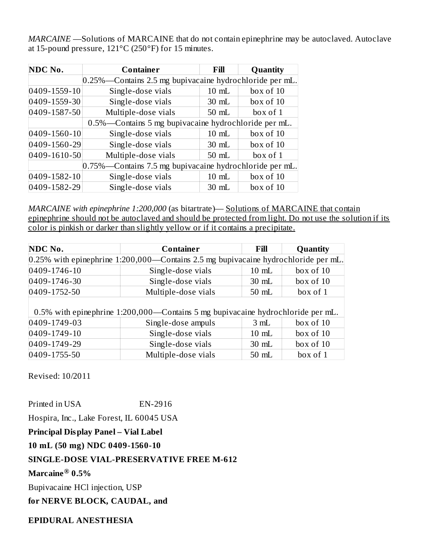*MARCAINE* ―Solutions of MARCAINE that do not contain epinephrine may be autoclaved. Autoclave at 15-pound pressure, 121°C (250°F) for 15 minutes.

| NDC No.              | Container                                               | Fill            | Quantity  |  |  |
|----------------------|---------------------------------------------------------|-----------------|-----------|--|--|
|                      | 0.25%—Contains 2.5 mg bupivacaine hydrochloride per mL. |                 |           |  |  |
| $ 0409 - 1559 - 10$  | Single-dose vials                                       | $10$ mL         | box of 10 |  |  |
| 0409-1559-30         | Single-dose vials                                       | $30 \text{ mL}$ | box of 10 |  |  |
| 0409-1587-50         | Multiple-dose vials                                     | $50$ mL         | box of 1  |  |  |
|                      | 0.5%—Contains 5 mg bupivacaine hydrochloride per mL.    |                 |           |  |  |
| $ 0409 - 1560 - 10 $ | Single-dose vials                                       | $10$ mL         | box of 10 |  |  |
| 0409-1560-29         | Single-dose vials                                       | $30$ mL         | box of 10 |  |  |
| $ 0409 - 1610 - 50 $ | Multiple-dose vials                                     | $50$ mL         | box of 1  |  |  |
|                      | 0.75%—Contains 7.5 mg bupivacaine hydrochloride per mL. |                 |           |  |  |
| 0409-1582-10         | Single-dose vials                                       | $10$ mL         | box of 10 |  |  |
| 0409-1582-29         | Single-dose vials                                       | $30$ mL         | box of 10 |  |  |

*MARCAINE with epinephrine 1:200,000* (as bitartrate)― Solutions of MARCAINE that contain epinephrine should not be autoclaved and should be protected from light. Do not use the solution if its color is pinkish or darker than slightly yellow or if it contains a precipitate.

| NDC No.                                                                               | <b>Container</b>    | Fill            | <b>Quantity</b> |  |  |  |
|---------------------------------------------------------------------------------------|---------------------|-----------------|-----------------|--|--|--|
| $0.25\%$ with epinephrine 1:200,000—Contains 2.5 mg bupivacaine hydrochloride per mL. |                     |                 |                 |  |  |  |
| 0409-1746-10                                                                          | $10$ mL             | box of 10       |                 |  |  |  |
| 0409-1746-30                                                                          | $30 \text{ mL}$     | box of 10       |                 |  |  |  |
| 0409-1752-50                                                                          | Multiple-dose vials | $50$ mL         | box of 1        |  |  |  |
| 0.5% with epinephrine 1:200,000—Contains 5 mg bupivacaine hydrochloride per mL.       |                     |                 |                 |  |  |  |
| 0409-1749-03<br>Single-dose ampuls                                                    |                     | 3 mL            | box of 10       |  |  |  |
| 0409-1749-10<br>Single-dose vials                                                     |                     | $10 \text{ mL}$ | box of 10       |  |  |  |
| 0409-1749-29<br>Single-dose vials                                                     |                     | $30$ mL         | box of 10       |  |  |  |
| Multiple-dose vials<br>0409-1755-50                                                   |                     | $50$ mL         | box of 1        |  |  |  |

Revised: 10/2011

Printed in USA EN-2916

Hospira, Inc., Lake Forest, IL 60045 USA

**Principal Display Panel – Vial Label**

**10 mL (50 mg) NDC 0409-1560-10**

### **SINGLE-DOSE VIAL-PRESERVATIVE FREE M-612**

**Marcaine 0.5% ®**

Bupivacaine HCl injection, USP

**for NERVE BLOCK, CAUDAL, and**

### **EPIDURAL ANESTHESIA**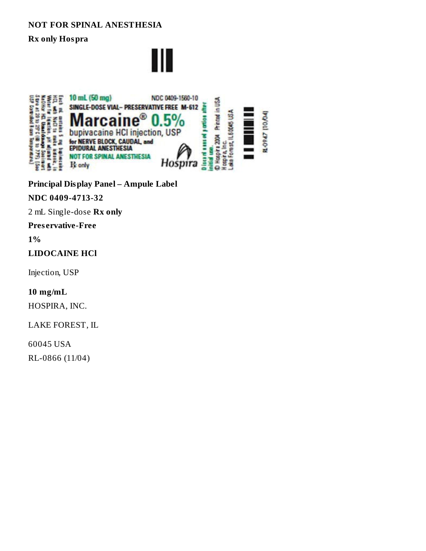#### **NOT FOR SPINAL ANESTHESIA**

**Rx only Hospra**



Ш

**Principal Display Panel – Ampule Label**

**NDC 0409-4713-32**

2 mL Single-dose **Rx only**

**Pres ervative-Free**

**1%**

**LIDOCAINE HCl**

Injection, USP

**10 mg/mL**

HOSPIRA, INC.

LAKE FOREST, IL

60045 USA

RL-0866 (11/04)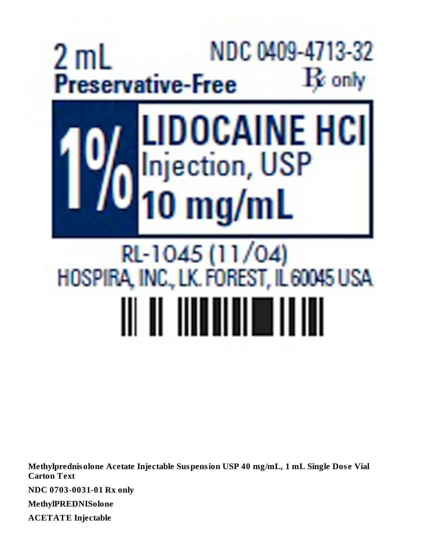

**Methylprednisolone Acetate Injectable Suspension USP 40 mg/mL, 1 mL Single Dos e Vial Carton Text NDC 0703-0031-01 Rx only MethylPREDNISolone ACETATE Injectable**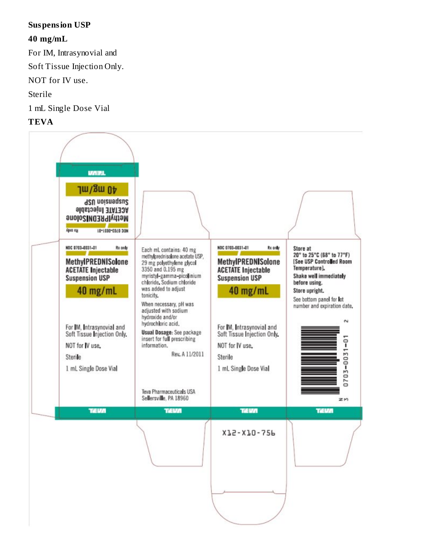# **Suspension USP**

## **40 mg/mL**

For IM, Intrasynovial and

Soft Tissue Injection Only.

NOT for IV use.

Sterile

1 mL Single Dose Vial

## **TEVA**

| <b>Lyners</b><br>7w/8w 0t<br>Suspension USP<br>ACETATE Injectable<br>MethylPREDNISolone<br><b>Karo Kal</b><br>MDC 0303-0031-01<br>NDC 0703-0031-01<br>Rx only<br>MethylPREDNISolone<br><b>ACETATE Injectable</b><br><b>Suspension USP</b><br>$40$ mg/mL | Each mL contains: 40 mg<br>methylprednisolone acetate USP,<br>29 mg polyethylene glycol<br>3350 and 0.195 mg<br>myristyl-gamma-picolinium<br>chloride, Sodium chloride<br>was added to adjust                                                                    | NDC 0703-0031-01<br>Rx only<br>MethylPREDNISolone<br><b>ACETATE Injectable</b><br><b>Suspension USP</b><br>$40$ mg/mL | Store at<br>20° to 25°C (68° to 77°F)<br>[See USP Controlled Room<br>Temperature].<br>Shake well immediately<br>before using.<br>Store upright. |
|---------------------------------------------------------------------------------------------------------------------------------------------------------------------------------------------------------------------------------------------------------|------------------------------------------------------------------------------------------------------------------------------------------------------------------------------------------------------------------------------------------------------------------|-----------------------------------------------------------------------------------------------------------------------|-------------------------------------------------------------------------------------------------------------------------------------------------|
| For IM, Intrasynovial and<br>Soft Tissue Injection Only.<br>NOT for IV use.<br>Sterile<br>1 mL Single Dose Vial                                                                                                                                         | tonicity.<br>When necessary, pH was<br>adjusted with sodium<br>hydroxide and/or<br>hydrochloric acid.<br><b>Usual Dosage:</b> See package<br>insert for full prescribing<br>information.<br>Rev. A 11/2011<br>Teva Pharmaceuticals USA<br>Sellersville, PA 18960 | For IM, Intrasynovial and<br>Soft Tissue Injection Only.<br>NOT for IV use.<br>Sterile<br>1 mL Single Dose Vial       | See bottom panel for lot<br>number and expiration date,<br>$\sim$<br>703-0031-0<br>ZM                                                           |
| <b>TEVA</b>                                                                                                                                                                                                                                             | <b>TEVA</b>                                                                                                                                                                                                                                                      | <b>TEVA</b>                                                                                                           | <b>TIEVA</b>                                                                                                                                    |
|                                                                                                                                                                                                                                                         |                                                                                                                                                                                                                                                                  | X15-X10-756                                                                                                           |                                                                                                                                                 |
|                                                                                                                                                                                                                                                         |                                                                                                                                                                                                                                                                  |                                                                                                                       |                                                                                                                                                 |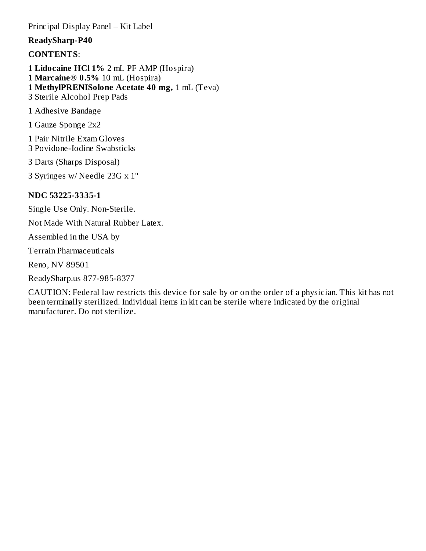Principal Display Panel – Kit Label

#### **ReadySharp-P40**

**CONTENTS**:

 **Lidocaine HCl 1%** 2 mL PF AMP (Hospira) **Marcaine® 0.5%** 10 mL (Hospira) **MethylPRENISolone Acetate 40 mg,** 1 mL (Teva) Sterile Alcohol Prep Pads

1 Adhesive Bandage

1 Gauze Sponge 2x2

1 Pair Nitrile Exam Gloves 3 Povidone-Iodine Swabsticks

3 Darts (Sharps Disposal)

3 Syringes w/ Needle 23G x 1"

**NDC 53225-3335-1**

Single Use Only. Non-Sterile.

Not Made With Natural Rubber Latex.

Assembled in the USA by

Terrain Pharmaceuticals

Reno, NV 89501

ReadySharp.us 877-985-8377

CAUTION: Federal law restricts this device for sale by or on the order of a physician. This kit has not been terminally sterilized. Individual items in kit can be sterile where indicated by the original manufacturer. Do not sterilize.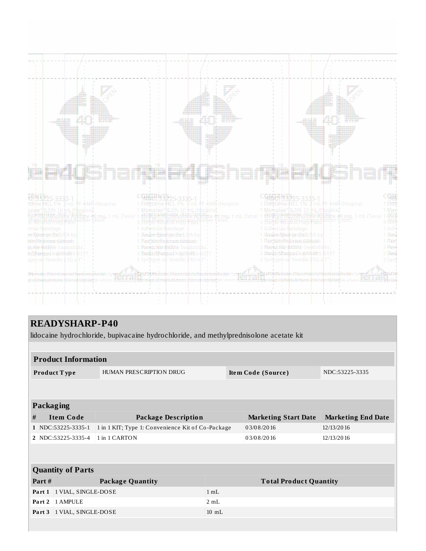

|                          | <b>READYSHARP-P40</b>                   |                            |                                                                                        |                    |                               |                           |
|--------------------------|-----------------------------------------|----------------------------|----------------------------------------------------------------------------------------|--------------------|-------------------------------|---------------------------|
|                          |                                         |                            | lidocaine hydrochloride, bupivacaine hydrochloride, and methylprednisolone acetate kit |                    |                               |                           |
|                          |                                         |                            |                                                                                        |                    |                               |                           |
|                          |                                         | <b>Product Information</b> |                                                                                        |                    |                               |                           |
|                          | HUMAN PRESCRIPTION DRUG<br>Product Type |                            |                                                                                        | Item Code (Source) | NDC:53225-3335                |                           |
|                          |                                         |                            |                                                                                        |                    |                               |                           |
|                          |                                         |                            |                                                                                        |                    |                               |                           |
|                          | Packaging                               |                            |                                                                                        |                    |                               |                           |
| #                        |                                         | <b>Item Code</b>           | <b>Package Description</b>                                                             |                    | <b>Marketing Start Date</b>   | <b>Marketing End Date</b> |
|                          |                                         | 1 NDC:53225-3335-1         | 1 in 1 KIT; Type 1: Convenience Kit of Co-Package                                      |                    | 03/08/2016                    | 12/13/2016                |
|                          |                                         | 2 NDC:53225-3335-4         | 1 in 1 CARTON                                                                          |                    | 03/08/2016                    | 12/13/2016                |
|                          |                                         |                            |                                                                                        |                    |                               |                           |
|                          |                                         |                            |                                                                                        |                    |                               |                           |
| <b>Quantity of Parts</b> |                                         |                            |                                                                                        |                    |                               |                           |
|                          | Part#                                   |                            | <b>Package Quantity</b>                                                                |                    | <b>Total Product Quantity</b> |                           |
|                          | Part 1                                  | 1 VIAL, SINGLE-DOSE        |                                                                                        | 1mL                |                               |                           |
|                          | 1 AMPULE<br>Part 2                      |                            | 2mL                                                                                    |                    |                               |                           |
|                          | Part 3   1 VIAL, SINGLE-DOSE            |                            | $10$ mL                                                                                |                    |                               |                           |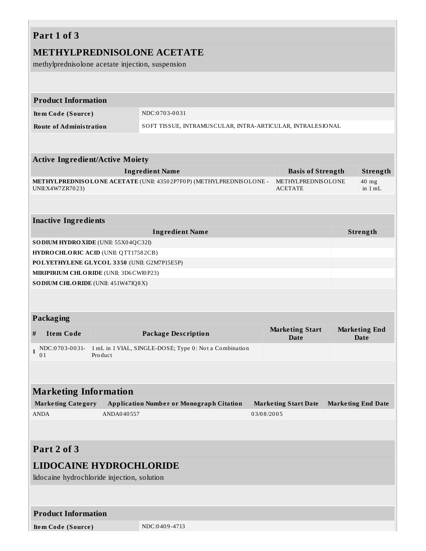# **Part 1 of 3 METHYLPREDNISOLONE ACETATE** methylprednisolone acetate injection, suspension **Product Information Ite m Code (Source )** NDC:0 70 3-0 0 31 **Route of Administration** SOFT TISSUE, INTRAMUSCULAR, INTRA-ARTICULAR, INTRALESIONAL **Active Ingredient/Active Moiety Ingredient Name Basis of Strength Strength METHYLPREDNISOLONE ACETATE** (UNII: 4350 2P7F0 P) (METHYLPREDNISOLONE - UNII:X4W7ZR70 23) METHYLPREDNISOLONE ACETATE 40 mg in 1 mL **Inactive Ingredients Ingredient Name Strength SODIUM HYDROXIDE** (UNII: 55X0 4QC32I) **HYDROCHLORIC ACID** (UNII: QTT1758 2CB) **POLYETHYLENE GLYCOL 3 3 50** (UNII: G2M7P15E5P) **MIRIPIRIUM CHLORIDE** (UNII: 3D6CWI0 P23) **SODIUM CHLORIDE** (UNII: 451W47IQ8X) **Packaging # Item Code Package Description Marketing Start Date Marketing End Date 1** NDC:0703-0031-0 1 1 mL in 1 VIAL, SINGLE-DOSE; Type 0: Not a Combination Pro duct **Marketing Information Marke ting Category Application Numbe r or Monograph Citation Marke ting Start Date Marke ting End Date** ANDA ANDA040557 03/08/2005 **Part 2 of 3 LIDOCAINE HYDROCHLORIDE** lidocaine hydrochloride injection, solution **Product Information Ite m Code (Source )** NDC:0 40 9 -4713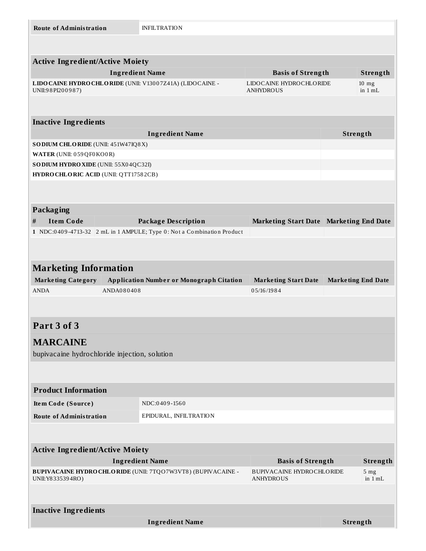| <b>Route of Administration</b>                |                        | <b>INFILTRATION</b>                                                    |                                             |          |                              |
|-----------------------------------------------|------------------------|------------------------------------------------------------------------|---------------------------------------------|----------|------------------------------|
|                                               |                        |                                                                        |                                             |          |                              |
|                                               |                        |                                                                        |                                             |          |                              |
| <b>Active Ingredient/Active Moiety</b>        |                        |                                                                        |                                             |          |                              |
|                                               | <b>Ingredient Name</b> |                                                                        | <b>Basis of Strength</b>                    | Strength |                              |
| UNI:98PI200987)                               |                        | LIDO CAINE HYDRO CHLO RIDE (UNII: V13007Z41A) (LIDO CAINE -            | LIDOCAINE HYDROCHLORIDE<br><b>ANHYDROUS</b> |          | $10 \text{ mg}$<br>in $1 mL$ |
|                                               |                        |                                                                        |                                             |          |                              |
| <b>Inactive Ingredients</b>                   |                        |                                                                        |                                             |          |                              |
|                                               |                        | <b>Ingredient Name</b>                                                 |                                             | Strength |                              |
| SODIUM CHLORIDE (UNII: 451W47IQ8X)            |                        |                                                                        |                                             |          |                              |
| WATER (UNII: 059 QF0 KO0 R)                   |                        |                                                                        |                                             |          |                              |
| SO DIUM HYDRO XIDE (UNII: 55X04QC32I)         |                        |                                                                        |                                             |          |                              |
| HYDRO CHLORIC ACID (UNII: QTT17582CB)         |                        |                                                                        |                                             |          |                              |
|                                               |                        |                                                                        |                                             |          |                              |
|                                               |                        |                                                                        |                                             |          |                              |
| Packaging                                     |                        |                                                                        |                                             |          |                              |
| <b>Item Code</b><br>#                         |                        | <b>Package Description</b>                                             | Marketing Start Date Marketing End Date     |          |                              |
|                                               |                        | 1 NDC:0409-4713-32 2 mL in 1 AMPULE; Type 0: Not a Combination Product |                                             |          |                              |
|                                               |                        |                                                                        |                                             |          |                              |
| <b>Marketing Information</b>                  |                        |                                                                        |                                             |          |                              |
| <b>Marketing Category</b>                     |                        | <b>Application Number or Monograph Citation</b>                        | <b>Marketing Start Date</b>                 |          | <b>Marketing End Date</b>    |
| <b>ANDA</b>                                   | ANDA080408             |                                                                        | 05/16/1984                                  |          |                              |
|                                               |                        |                                                                        |                                             |          |                              |
|                                               |                        |                                                                        |                                             |          |                              |
| Part 3 of 3                                   |                        |                                                                        |                                             |          |                              |
| <b>MARCAINE</b>                               |                        |                                                                        |                                             |          |                              |
| bupivacaine hydrochloride injection, solution |                        |                                                                        |                                             |          |                              |
|                                               |                        |                                                                        |                                             |          |                              |
|                                               |                        |                                                                        |                                             |          |                              |
| <b>Product Information</b>                    |                        |                                                                        |                                             |          |                              |
| <b>Item Code (Source)</b>                     |                        | NDC:0409-1560                                                          |                                             |          |                              |
| <b>Route of Administration</b>                |                        | EPIDURAL, INFILTRATION                                                 |                                             |          |                              |
|                                               |                        |                                                                        |                                             |          |                              |
| <b>Active Ingredient/Active Moiety</b>        |                        |                                                                        |                                             |          |                              |
| <b>Ingredient Name</b>                        |                        |                                                                        | <b>Basis of Strength</b>                    |          | Strength                     |
|                                               |                        | BUPIVACAINE HYDRO CHLORIDE (UNII: 7TQO7W3VT8) (BUPIVACAINE -           | BUPIVACAINE HYDROCHLORIDE                   |          | 5 <sub>mg</sub>              |
| UNII: Y8335394RO)<br><b>ANHYDROUS</b>         |                        |                                                                        | in $1 mL$                                   |          |                              |
|                                               |                        |                                                                        |                                             |          |                              |
| <b>Inactive Ingredients</b>                   |                        |                                                                        |                                             |          |                              |
| <b>Ingredient Name</b>                        |                        |                                                                        | Strength                                    |          |                              |